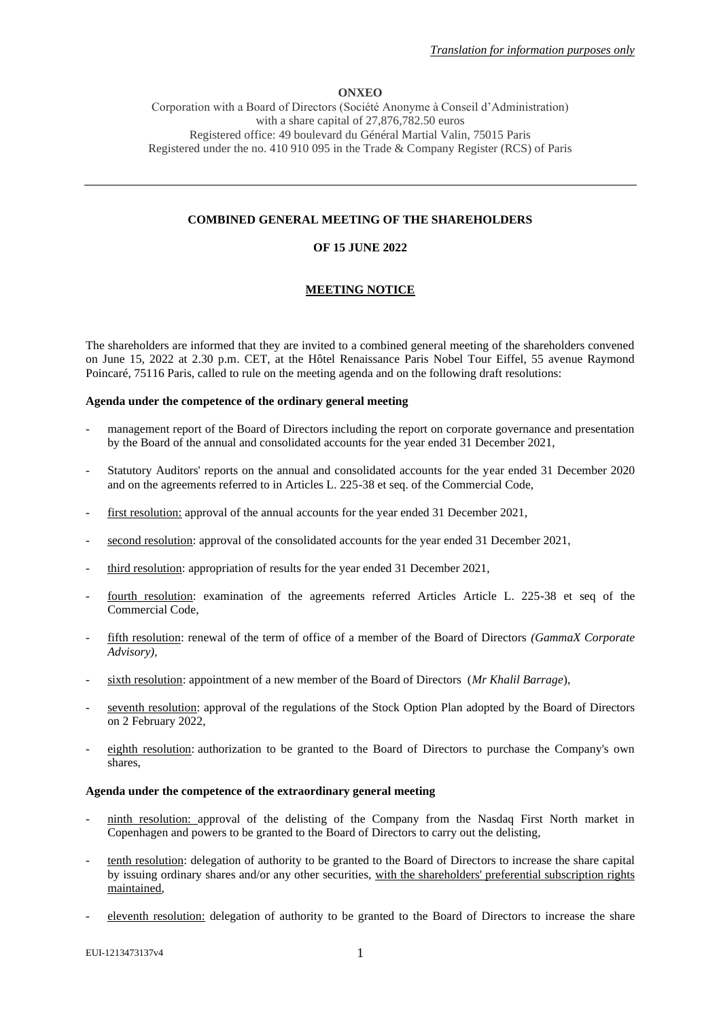### **ONXEO**

Corporation with a Board of Directors (Société Anonyme à Conseil d'Administration) with a share capital of 27,876,782.50 euros Registered office: 49 boulevard du Général Martial Valin, 75015 Paris Registered under the no. 410 910 095 in the Trade & Company Register (RCS) of Paris

## **COMBINED GENERAL MEETING OF THE SHAREHOLDERS**

#### **OF 15 JUNE 2022**

## **MEETING NOTICE**

The shareholders are informed that they are invited to a combined general meeting of the shareholders convened on June 15, 2022 at 2.30 p.m. CET, at the Hôtel Renaissance Paris Nobel Tour Eiffel, 55 avenue Raymond Poincaré, 75116 Paris, called to rule on the meeting agenda and on the following draft resolutions:

#### **Agenda under the competence of the ordinary general meeting**

- management report of the Board of Directors including the report on corporate governance and presentation by the Board of the annual and consolidated accounts for the year ended 31 December 2021,
- Statutory Auditors' reports on the annual and consolidated accounts for the year ended 31 December 2020 and on the agreements referred to in Articles L. 225-38 et seq. of the Commercial Code,
- first resolution: approval of the annual accounts for the year ended 31 December 2021,
- second resolution: approval of the consolidated accounts for the year ended 31 December 2021,
- third resolution: appropriation of results for the year ended 31 December 2021,
- fourth resolution: examination of the agreements referred Articles Article L. 225-38 et seq of the Commercial Code,
- fifth resolution: renewal of the term of office of a member of the Board of Directors *(GammaX Corporate Advisory),*
- sixth resolution: appointment of a new member of the Board of Directors (*Mr Khalil Barrage*),
- seventh resolution: approval of the regulations of the Stock Option Plan adopted by the Board of Directors on 2 February 2022,
- eighth resolution: authorization to be granted to the Board of Directors to purchase the Company's own shares,

#### **Agenda under the competence of the extraordinary general meeting**

- ninth resolution: approval of the delisting of the Company from the Nasdaq First North market in Copenhagen and powers to be granted to the Board of Directors to carry out the delisting,
- tenth resolution: delegation of authority to be granted to the Board of Directors to increase the share capital by issuing ordinary shares and/or any other securities, with the shareholders' preferential subscription rights maintained,
- eleventh resolution: delegation of authority to be granted to the Board of Directors to increase the share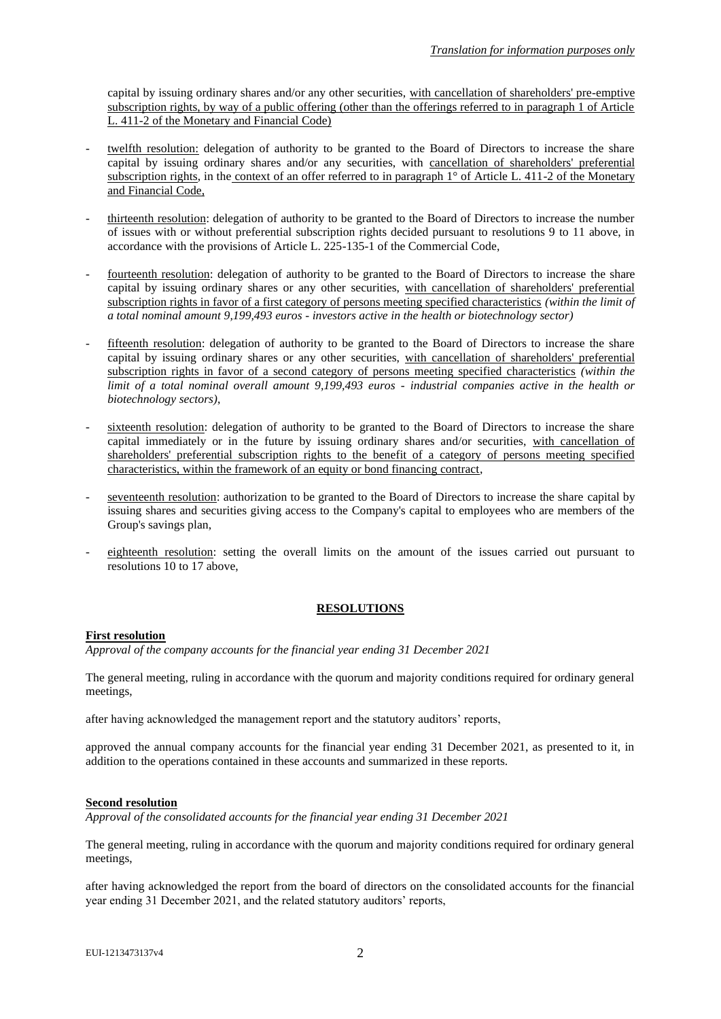capital by issuing ordinary shares and/or any other securities, with cancellation of shareholders' pre-emptive subscription rights, by way of a public offering (other than the offerings referred to in paragraph 1 of Article L. 411-2 of the Monetary and Financial Code)

- twelfth resolution: delegation of authority to be granted to the Board of Directors to increase the share capital by issuing ordinary shares and/or any securities, with cancellation of shareholders' preferential subscription rights, in the context of an offer referred to in paragraph  $1^{\circ}$  of Article L. 411-2 of the Monetary and Financial Code,
- thirteenth resolution: delegation of authority to be granted to the Board of Directors to increase the number of issues with or without preferential subscription rights decided pursuant to resolutions 9 to 11 above, in accordance with the provisions of Article L. 225-135-1 of the Commercial Code,
- fourteenth resolution: delegation of authority to be granted to the Board of Directors to increase the share capital by issuing ordinary shares or any other securities, with cancellation of shareholders' preferential subscription rights in favor of a first category of persons meeting specified characteristics *(within the limit of a total nominal amount 9,199,493 euros - investors active in the health or biotechnology sector)*
- fifteenth resolution: delegation of authority to be granted to the Board of Directors to increase the share capital by issuing ordinary shares or any other securities, with cancellation of shareholders' preferential subscription rights in favor of a second category of persons meeting specified characteristics *(within the limit of a total nominal overall amount 9,199,493 euros - industrial companies active in the health or biotechnology sectors)*,
- sixteenth resolution: delegation of authority to be granted to the Board of Directors to increase the share capital immediately or in the future by issuing ordinary shares and/or securities, with cancellation of shareholders' preferential subscription rights to the benefit of a category of persons meeting specified characteristics, within the framework of an equity or bond financing contract,
- seventeenth resolution: authorization to be granted to the Board of Directors to increase the share capital by issuing shares and securities giving access to the Company's capital to employees who are members of the Group's savings plan,
- eighteenth resolution: setting the overall limits on the amount of the issues carried out pursuant to resolutions 10 to 17 above,

## **RESOLUTIONS**

## **First resolution**

*Approval of the company accounts for the financial year ending 31 December 2021*

The general meeting, ruling in accordance with the quorum and majority conditions required for ordinary general meetings,

after having acknowledged the management report and the statutory auditors' reports,

approved the annual company accounts for the financial year ending 31 December 2021, as presented to it, in addition to the operations contained in these accounts and summarized in these reports.

## **Second resolution**

*Approval of the consolidated accounts for the financial year ending 31 December 2021*

The general meeting, ruling in accordance with the quorum and majority conditions required for ordinary general meetings,

after having acknowledged the report from the board of directors on the consolidated accounts for the financial year ending 31 December 2021, and the related statutory auditors' reports,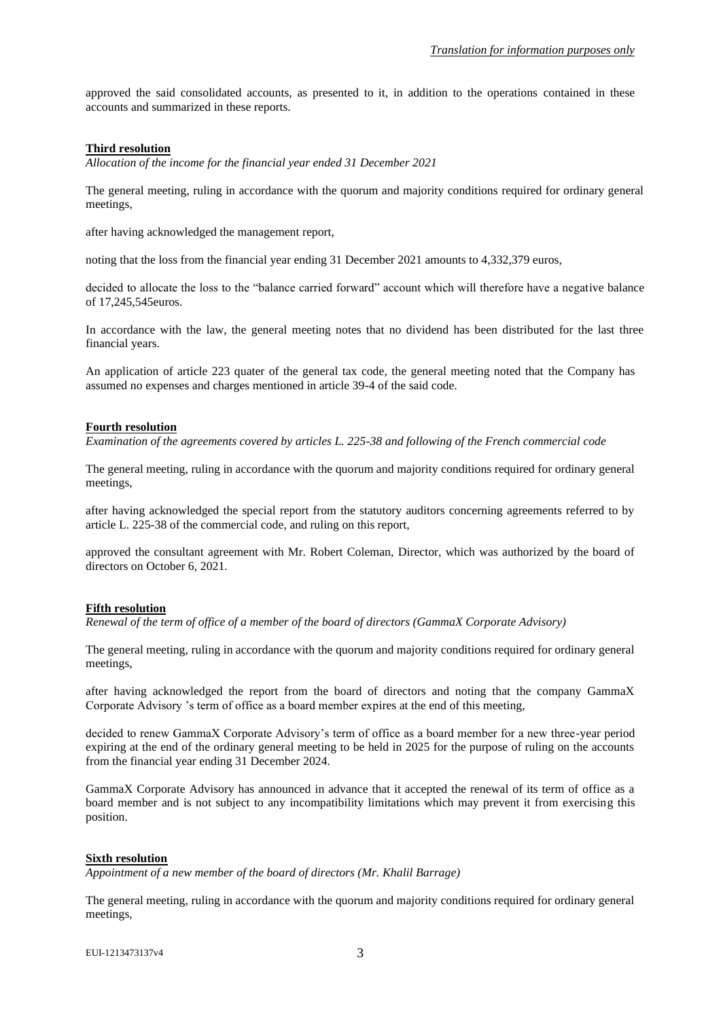approved the said consolidated accounts, as presented to it, in addition to the operations contained in these accounts and summarized in these reports.

#### **Third resolution**

*Allocation of the income for the financial year ended 31 December 2021*

The general meeting, ruling in accordance with the quorum and majority conditions required for ordinary general meetings,

after having acknowledged the management report,

noting that the loss from the financial year ending 31 December 2021 amounts to 4,332,379 euros,

decided to allocate the loss to the "balance carried forward" account which will therefore have a negative balance of 17,245,545euros.

In accordance with the law, the general meeting notes that no dividend has been distributed for the last three financial years.

An application of article 223 quater of the general tax code, the general meeting noted that the Company has assumed no expenses and charges mentioned in article 39-4 of the said code.

#### **Fourth resolution**

*Examination of the agreements covered by articles L. 225-38 and following of the French commercial code* 

The general meeting, ruling in accordance with the quorum and majority conditions required for ordinary general meetings,

after having acknowledged the special report from the statutory auditors concerning agreements referred to by article L. 225-38 of the commercial code, and ruling on this report,

approved the consultant agreement with Mr. Robert Coleman, Director, which was authorized by the board of directors on October 6, 2021.

#### **Fifth resolution**

*Renewal of the term of office of a member of the board of directors (GammaX Corporate Advisory)*

The general meeting, ruling in accordance with the quorum and majority conditions required for ordinary general meetings,

after having acknowledged the report from the board of directors and noting that the company GammaX Corporate Advisory 's term of office as a board member expires at the end of this meeting,

decided to renew GammaX Corporate Advisory's term of office as a board member for a new three-year period expiring at the end of the ordinary general meeting to be held in 2025 for the purpose of ruling on the accounts from the financial year ending 31 December 2024.

GammaX Corporate Advisory has announced in advance that it accepted the renewal of its term of office as a board member and is not subject to any incompatibility limitations which may prevent it from exercising this position.

#### **Sixth resolution**

*Appointment of a new member of the board of directors (Mr. Khalil Barrage)*

The general meeting, ruling in accordance with the quorum and majority conditions required for ordinary general meetings,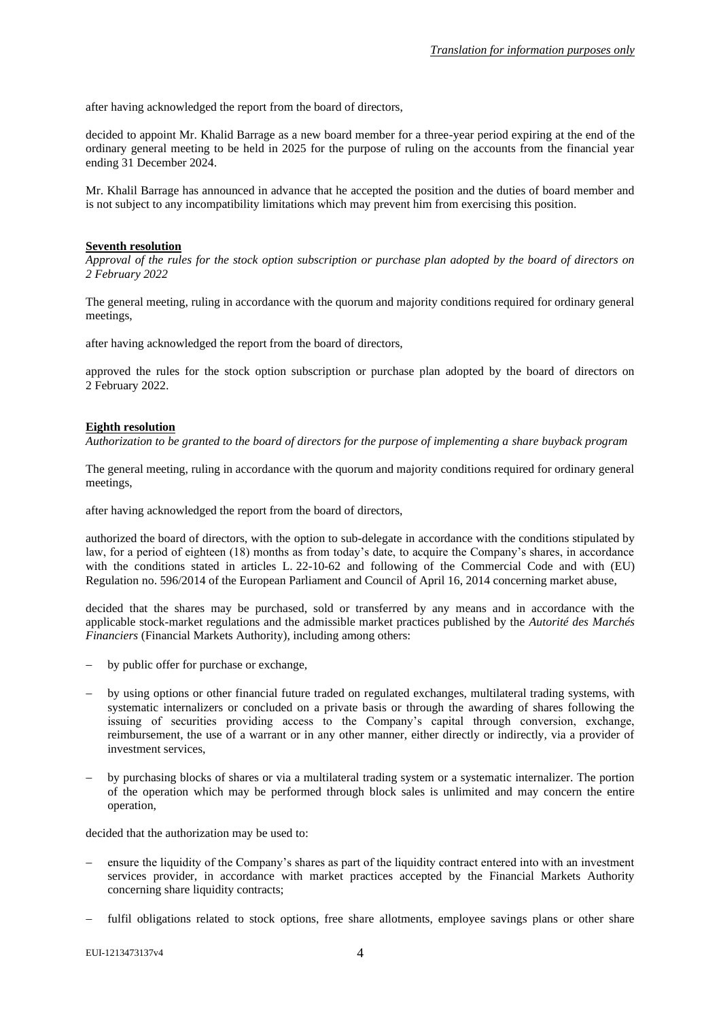after having acknowledged the report from the board of directors,

decided to appoint Mr. Khalid Barrage as a new board member for a three-year period expiring at the end of the ordinary general meeting to be held in 2025 for the purpose of ruling on the accounts from the financial year ending 31 December 2024.

Mr. Khalil Barrage has announced in advance that he accepted the position and the duties of board member and is not subject to any incompatibility limitations which may prevent him from exercising this position.

#### **Seventh resolution**

*Approval of the rules for the stock option subscription or purchase plan adopted by the board of directors on 2 February 2022*

The general meeting, ruling in accordance with the quorum and majority conditions required for ordinary general meetings,

after having acknowledged the report from the board of directors,

approved the rules for the stock option subscription or purchase plan adopted by the board of directors on 2 February 2022.

#### **Eighth resolution**

*Authorization to be granted to the board of directors for the purpose of implementing a share buyback program*

The general meeting, ruling in accordance with the quorum and majority conditions required for ordinary general meetings,

after having acknowledged the report from the board of directors,

authorized the board of directors, with the option to sub-delegate in accordance with the conditions stipulated by law, for a period of eighteen (18) months as from today's date, to acquire the Company's shares, in accordance with the conditions stated in articles L. 22-10-62 and following of the Commercial Code and with (EU) Regulation no. 596/2014 of the European Parliament and Council of April 16, 2014 concerning market abuse,

decided that the shares may be purchased, sold or transferred by any means and in accordance with the applicable stock-market regulations and the admissible market practices published by the *Autorité des Marchés Financiers* (Financial Markets Authority), including among others:

- by public offer for purchase or exchange,
- − by using options or other financial future traded on regulated exchanges, multilateral trading systems, with systematic internalizers or concluded on a private basis or through the awarding of shares following the issuing of securities providing access to the Company's capital through conversion, exchange, reimbursement, the use of a warrant or in any other manner, either directly or indirectly, via a provider of investment services,
- − by purchasing blocks of shares or via a multilateral trading system or a systematic internalizer. The portion of the operation which may be performed through block sales is unlimited and may concern the entire operation,

decided that the authorization may be used to:

- ensure the liquidity of the Company's shares as part of the liquidity contract entered into with an investment services provider, in accordance with market practices accepted by the Financial Markets Authority concerning share liquidity contracts;
- fulfil obligations related to stock options, free share allotments, employee savings plans or other share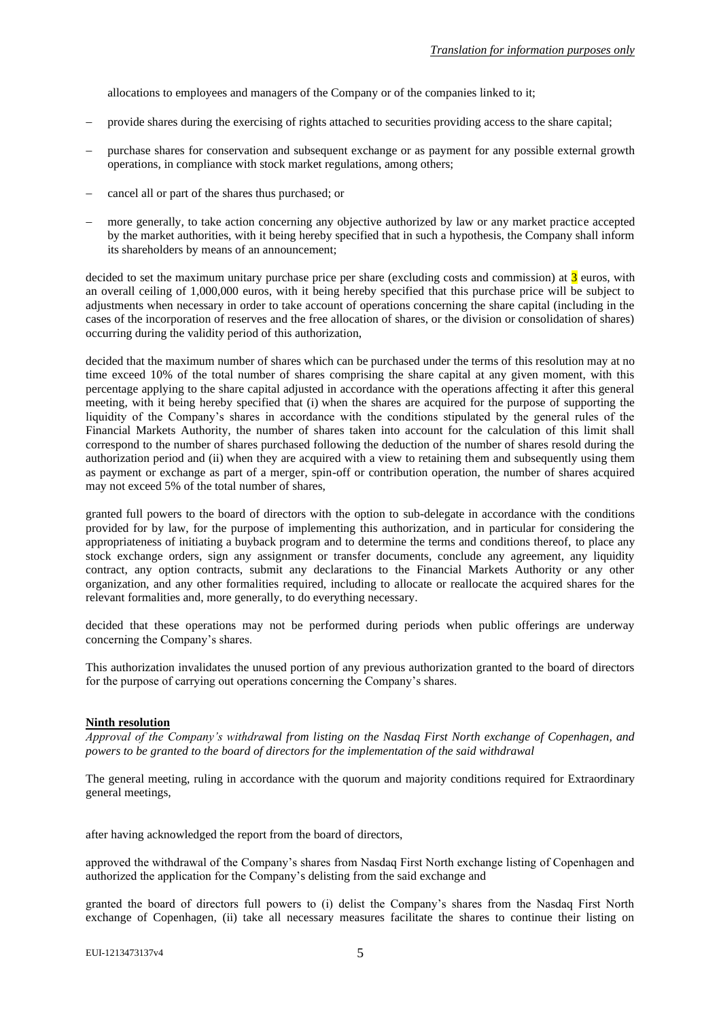allocations to employees and managers of the Company or of the companies linked to it;

- − provide shares during the exercising of rights attached to securities providing access to the share capital;
- purchase shares for conservation and subsequent exchange or as payment for any possible external growth operations, in compliance with stock market regulations, among others;
- − cancel all or part of the shares thus purchased; or
- more generally, to take action concerning any objective authorized by law or any market practice accepted by the market authorities, with it being hereby specified that in such a hypothesis, the Company shall inform its shareholders by means of an announcement;

decided to set the maximum unitary purchase price per share (excluding costs and commission) at  $\frac{3}{3}$  euros, with an overall ceiling of 1,000,000 euros, with it being hereby specified that this purchase price will be subject to adjustments when necessary in order to take account of operations concerning the share capital (including in the cases of the incorporation of reserves and the free allocation of shares, or the division or consolidation of shares) occurring during the validity period of this authorization,

decided that the maximum number of shares which can be purchased under the terms of this resolution may at no time exceed 10% of the total number of shares comprising the share capital at any given moment, with this percentage applying to the share capital adjusted in accordance with the operations affecting it after this general meeting, with it being hereby specified that (i) when the shares are acquired for the purpose of supporting the liquidity of the Company's shares in accordance with the conditions stipulated by the general rules of the Financial Markets Authority, the number of shares taken into account for the calculation of this limit shall correspond to the number of shares purchased following the deduction of the number of shares resold during the authorization period and (ii) when they are acquired with a view to retaining them and subsequently using them as payment or exchange as part of a merger, spin-off or contribution operation, the number of shares acquired may not exceed 5% of the total number of shares,

granted full powers to the board of directors with the option to sub-delegate in accordance with the conditions provided for by law, for the purpose of implementing this authorization, and in particular for considering the appropriateness of initiating a buyback program and to determine the terms and conditions thereof, to place any stock exchange orders, sign any assignment or transfer documents, conclude any agreement, any liquidity contract, any option contracts, submit any declarations to the Financial Markets Authority or any other organization, and any other formalities required, including to allocate or reallocate the acquired shares for the relevant formalities and, more generally, to do everything necessary.

decided that these operations may not be performed during periods when public offerings are underway concerning the Company's shares.

This authorization invalidates the unused portion of any previous authorization granted to the board of directors for the purpose of carrying out operations concerning the Company's shares.

#### **Ninth resolution**

*Approval of the Company's withdrawal from listing on the Nasdaq First North exchange of Copenhagen, and powers to be granted to the board of directors for the implementation of the said withdrawal* 

The general meeting, ruling in accordance with the quorum and majority conditions required for Extraordinary general meetings,

after having acknowledged the report from the board of directors,

approved the withdrawal of the Company's shares from Nasdaq First North exchange listing of Copenhagen and authorized the application for the Company's delisting from the said exchange and

granted the board of directors full powers to (i) delist the Company's shares from the Nasdaq First North exchange of Copenhagen, (ii) take all necessary measures facilitate the shares to continue their listing on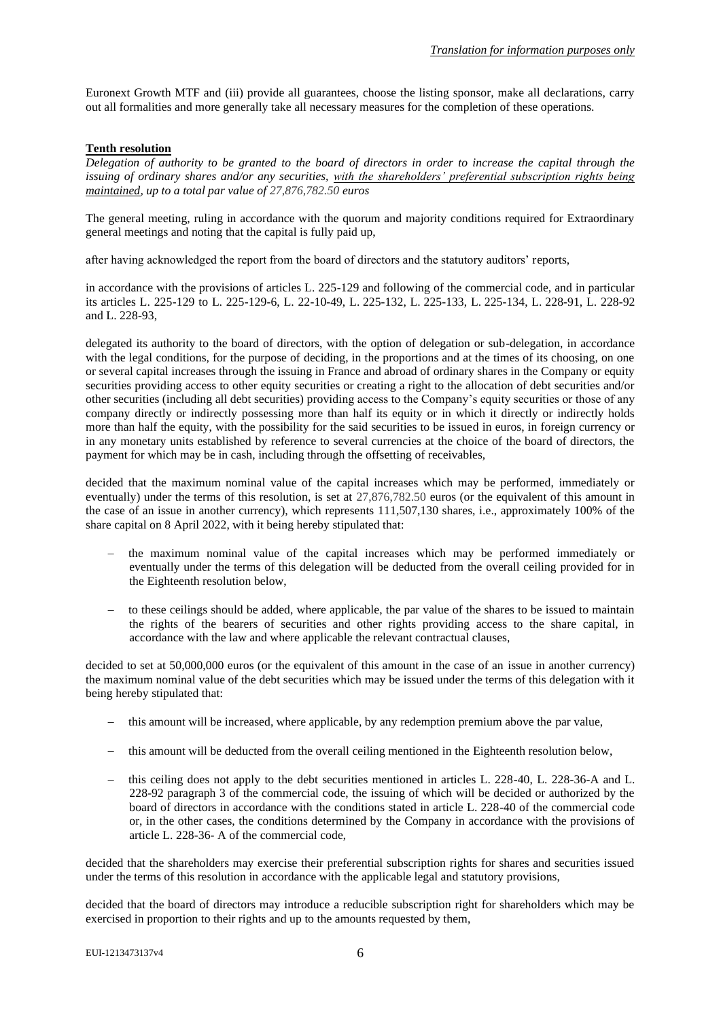Euronext Growth MTF and (iii) provide all guarantees, choose the listing sponsor, make all declarations, carry out all formalities and more generally take all necessary measures for the completion of these operations.

## <span id="page-5-0"></span>**Tenth resolution**

*Delegation of authority to be granted to the board of directors in order to increase the capital through the issuing of ordinary shares and/or any securities, with the shareholders' preferential subscription rights being maintained, up to a total par value of 27,876,782.50 euros*

The general meeting, ruling in accordance with the quorum and majority conditions required for Extraordinary general meetings and noting that the capital is fully paid up,

after having acknowledged the report from the board of directors and the statutory auditors' reports,

in accordance with the provisions of articles L. 225-129 and following of the commercial code, and in particular its articles L. 225-129 to L. 225-129-6, L. 22-10-49, L. 225-132, L. 225-133, L. 225-134, L. 228-91, L. 228-92 and L. 228-93,

delegated its authority to the board of directors, with the option of delegation or sub-delegation, in accordance with the legal conditions, for the purpose of deciding, in the proportions and at the times of its choosing, on one or several capital increases through the issuing in France and abroad of ordinary shares in the Company or equity securities providing access to other equity securities or creating a right to the allocation of debt securities and/or other securities (including all debt securities) providing access to the Company's equity securities or those of any company directly or indirectly possessing more than half its equity or in which it directly or indirectly holds more than half the equity, with the possibility for the said securities to be issued in euros, in foreign currency or in any monetary units established by reference to several currencies at the choice of the board of directors, the payment for which may be in cash, including through the offsetting of receivables,

decided that the maximum nominal value of the capital increases which may be performed, immediately or eventually) under the terms of this resolution, is set at 27,876,782.50 euros (or the equivalent of this amount in the case of an issue in another currency), which represents 111,507,130 shares, i.e., approximately 100% of the share capital on 8 April 2022, with it being hereby stipulated that:

- − the maximum nominal value of the capital increases which may be performed immediately or eventually under the terms of this delegation will be deducted from the overall ceiling provided for in th[e Eighteenth resolution](#page-19-0) below,
- to these ceilings should be added, where applicable, the par value of the shares to be issued to maintain the rights of the bearers of securities and other rights providing access to the share capital, in accordance with the law and where applicable the relevant contractual clauses,

decided to set at 50,000,000 euros (or the equivalent of this amount in the case of an issue in another currency) the maximum nominal value of the debt securities which may be issued under the terms of this delegation with it being hereby stipulated that:

- − this amount will be increased, where applicable, by any redemption premium above the par value,
- − this amount will be deducted from the overall ceiling mentioned in the [Eighteenth resolution](#page-19-0) below,
- − this ceiling does not apply to the debt securities mentioned in articles L. 228-40, L. 228-36-A and L. 228-92 paragraph 3 of the commercial code, the issuing of which will be decided or authorized by the board of directors in accordance with the conditions stated in article L. 228-40 of the commercial code or, in the other cases, the conditions determined by the Company in accordance with the provisions of article L. 228-36- A of the commercial code,

decided that the shareholders may exercise their preferential subscription rights for shares and securities issued under the terms of this resolution in accordance with the applicable legal and statutory provisions,

decided that the board of directors may introduce a reducible subscription right for shareholders which may be exercised in proportion to their rights and up to the amounts requested by them,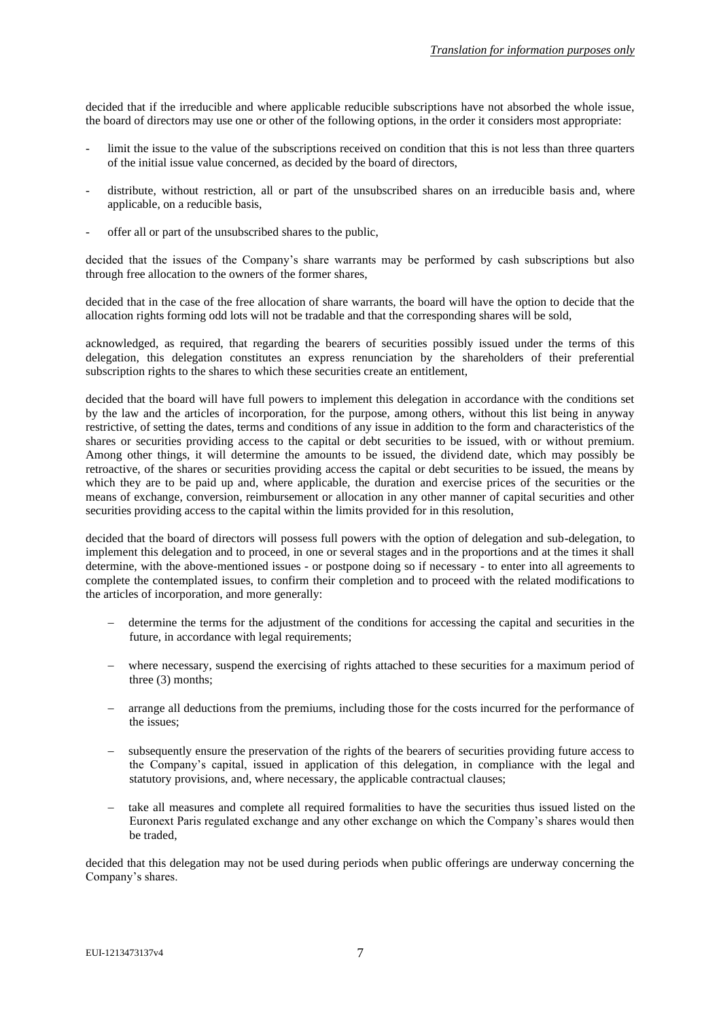decided that if the irreducible and where applicable reducible subscriptions have not absorbed the whole issue, the board of directors may use one or other of the following options, in the order it considers most appropriate:

- limit the issue to the value of the subscriptions received on condition that this is not less than three quarters of the initial issue value concerned, as decided by the board of directors,
- distribute, without restriction, all or part of the unsubscribed shares on an irreducible basis and, where applicable, on a reducible basis,
- offer all or part of the unsubscribed shares to the public,

decided that the issues of the Company's share warrants may be performed by cash subscriptions but also through free allocation to the owners of the former shares,

decided that in the case of the free allocation of share warrants, the board will have the option to decide that the allocation rights forming odd lots will not be tradable and that the corresponding shares will be sold,

acknowledged, as required, that regarding the bearers of securities possibly issued under the terms of this delegation, this delegation constitutes an express renunciation by the shareholders of their preferential subscription rights to the shares to which these securities create an entitlement,

decided that the board will have full powers to implement this delegation in accordance with the conditions set by the law and the articles of incorporation, for the purpose, among others, without this list being in anyway restrictive, of setting the dates, terms and conditions of any issue in addition to the form and characteristics of the shares or securities providing access to the capital or debt securities to be issued, with or without premium. Among other things, it will determine the amounts to be issued, the dividend date, which may possibly be retroactive, of the shares or securities providing access the capital or debt securities to be issued, the means by which they are to be paid up and, where applicable, the duration and exercise prices of the securities or the means of exchange, conversion, reimbursement or allocation in any other manner of capital securities and other securities providing access to the capital within the limits provided for in this resolution,

decided that the board of directors will possess full powers with the option of delegation and sub-delegation, to implement this delegation and to proceed, in one or several stages and in the proportions and at the times it shall determine, with the above-mentioned issues - or postpone doing so if necessary - to enter into all agreements to complete the contemplated issues, to confirm their completion and to proceed with the related modifications to the articles of incorporation, and more generally:

- − determine the terms for the adjustment of the conditions for accessing the capital and securities in the future, in accordance with legal requirements;
- where necessary, suspend the exercising of rights attached to these securities for a maximum period of three (3) months;
- arrange all deductions from the premiums, including those for the costs incurred for the performance of the issues;
- − subsequently ensure the preservation of the rights of the bearers of securities providing future access to the Company's capital, issued in application of this delegation, in compliance with the legal and statutory provisions, and, where necessary, the applicable contractual clauses;
- take all measures and complete all required formalities to have the securities thus issued listed on the Euronext Paris regulated exchange and any other exchange on which the Company's shares would then be traded,

decided that this delegation may not be used during periods when public offerings are underway concerning the Company's shares.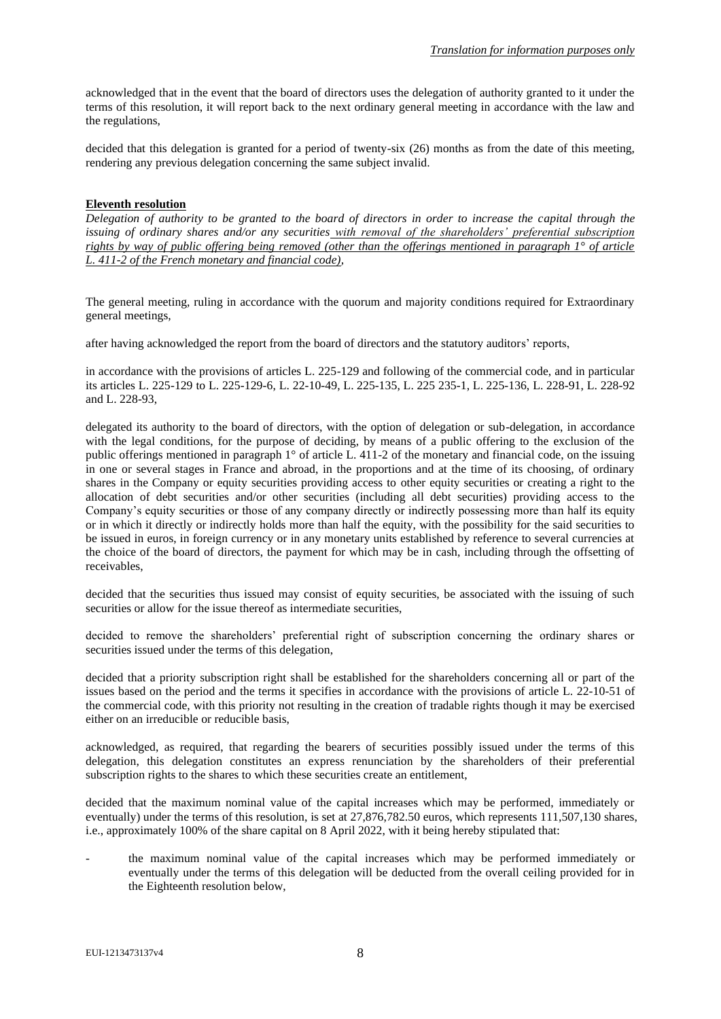acknowledged that in the event that the board of directors uses the delegation of authority granted to it under the terms of this resolution, it will report back to the next ordinary general meeting in accordance with the law and the regulations,

decided that this delegation is granted for a period of twenty-six (26) months as from the date of this meeting, rendering any previous delegation concerning the same subject invalid.

## <span id="page-7-0"></span>**Eleventh resolution**

*Delegation of authority to be granted to the board of directors in order to increase the capital through the issuing of ordinary shares and/or any securities with removal of the shareholders' preferential subscription rights by way of public offering being removed (other than the offerings mentioned in paragraph 1° of article L. 411-2 of the French monetary and financial code),*

The general meeting, ruling in accordance with the quorum and majority conditions required for Extraordinary general meetings,

after having acknowledged the report from the board of directors and the statutory auditors' reports,

in accordance with the provisions of articles L. 225-129 and following of the commercial code, and in particular its articles L. 225-129 to L. 225-129-6, L. 22-10-49, L. 225-135, L. 225 235-1, L. 225-136, L. 228-91, L. 228-92 and L. 228-93,

delegated its authority to the board of directors, with the option of delegation or sub-delegation, in accordance with the legal conditions, for the purpose of deciding, by means of a public offering to the exclusion of the public offerings mentioned in paragraph 1° of article L. 411-2 of the monetary and financial code, on the issuing in one or several stages in France and abroad, in the proportions and at the time of its choosing, of ordinary shares in the Company or equity securities providing access to other equity securities or creating a right to the allocation of debt securities and/or other securities (including all debt securities) providing access to the Company's equity securities or those of any company directly or indirectly possessing more than half its equity or in which it directly or indirectly holds more than half the equity, with the possibility for the said securities to be issued in euros, in foreign currency or in any monetary units established by reference to several currencies at the choice of the board of directors, the payment for which may be in cash, including through the offsetting of receivables,

decided that the securities thus issued may consist of equity securities, be associated with the issuing of such securities or allow for the issue thereof as intermediate securities,

decided to remove the shareholders' preferential right of subscription concerning the ordinary shares or securities issued under the terms of this delegation,

decided that a priority subscription right shall be established for the shareholders concerning all or part of the issues based on the period and the terms it specifies in accordance with the provisions of article L. 22-10-51 of the commercial code, with this priority not resulting in the creation of tradable rights though it may be exercised either on an irreducible or reducible basis,

acknowledged, as required, that regarding the bearers of securities possibly issued under the terms of this delegation, this delegation constitutes an express renunciation by the shareholders of their preferential subscription rights to the shares to which these securities create an entitlement,

decided that the maximum nominal value of the capital increases which may be performed, immediately or eventually) under the terms of this resolution, is set at 27,876,782.50 euros, which represents 111,507,130 shares, i.e., approximately 100% of the share capital on 8 April 2022, with it being hereby stipulated that:

- the maximum nominal value of the capital increases which may be performed immediately or eventually under the terms of this delegation will be deducted from the overall ceiling provided for in the [Eighteenth](#page-19-0) resolution below,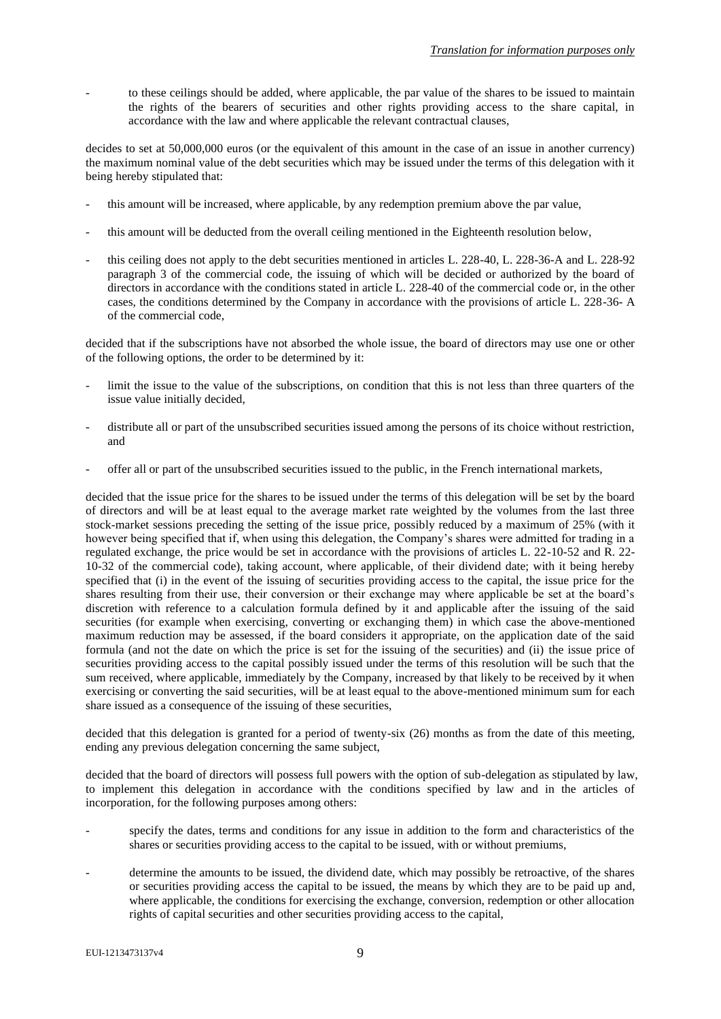to these ceilings should be added, where applicable, the par value of the shares to be issued to maintain the rights of the bearers of securities and other rights providing access to the share capital, in accordance with the law and where applicable the relevant contractual clauses,

decides to set at 50,000,000 euros (or the equivalent of this amount in the case of an issue in another currency) the maximum nominal value of the debt securities which may be issued under the terms of this delegation with it being hereby stipulated that:

- this amount will be increased, where applicable, by any redemption premium above the par value,
- this amount will be deducted from the overall ceiling mentioned in the [Eighteenth](#page-19-0) resolution below,
- this ceiling does not apply to the debt securities mentioned in articles L. 228-40, L. 228-36-A and L. 228-92 paragraph 3 of the commercial code, the issuing of which will be decided or authorized by the board of directors in accordance with the conditions stated in article L. 228-40 of the commercial code or, in the other cases, the conditions determined by the Company in accordance with the provisions of article L. 228-36- A of the commercial code,

decided that if the subscriptions have not absorbed the whole issue, the board of directors may use one or other of the following options, the order to be determined by it:

- limit the issue to the value of the subscriptions, on condition that this is not less than three quarters of the issue value initially decided,
- distribute all or part of the unsubscribed securities issued among the persons of its choice without restriction, and
- offer all or part of the unsubscribed securities issued to the public, in the French international markets,

decided that the issue price for the shares to be issued under the terms of this delegation will be set by the board of directors and will be at least equal to the average market rate weighted by the volumes from the last three stock-market sessions preceding the setting of the issue price, possibly reduced by a maximum of 25% (with it however being specified that if, when using this delegation, the Company's shares were admitted for trading in a regulated exchange, the price would be set in accordance with the provisions of articles L. 22-10-52 and R. 22- 10-32 of the commercial code), taking account, where applicable, of their dividend date; with it being hereby specified that (i) in the event of the issuing of securities providing access to the capital, the issue price for the shares resulting from their use, their conversion or their exchange may where applicable be set at the board's discretion with reference to a calculation formula defined by it and applicable after the issuing of the said securities (for example when exercising, converting or exchanging them) in which case the above-mentioned maximum reduction may be assessed, if the board considers it appropriate, on the application date of the said formula (and not the date on which the price is set for the issuing of the securities) and (ii) the issue price of securities providing access to the capital possibly issued under the terms of this resolution will be such that the sum received, where applicable, immediately by the Company, increased by that likely to be received by it when exercising or converting the said securities, will be at least equal to the above-mentioned minimum sum for each share issued as a consequence of the issuing of these securities,

decided that this delegation is granted for a period of twenty-six (26) months as from the date of this meeting, ending any previous delegation concerning the same subject,

decided that the board of directors will possess full powers with the option of sub-delegation as stipulated by law, to implement this delegation in accordance with the conditions specified by law and in the articles of incorporation, for the following purposes among others:

- specify the dates, terms and conditions for any issue in addition to the form and characteristics of the shares or securities providing access to the capital to be issued, with or without premiums,
- determine the amounts to be issued, the dividend date, which may possibly be retroactive, of the shares or securities providing access the capital to be issued, the means by which they are to be paid up and, where applicable, the conditions for exercising the exchange, conversion, redemption or other allocation rights of capital securities and other securities providing access to the capital,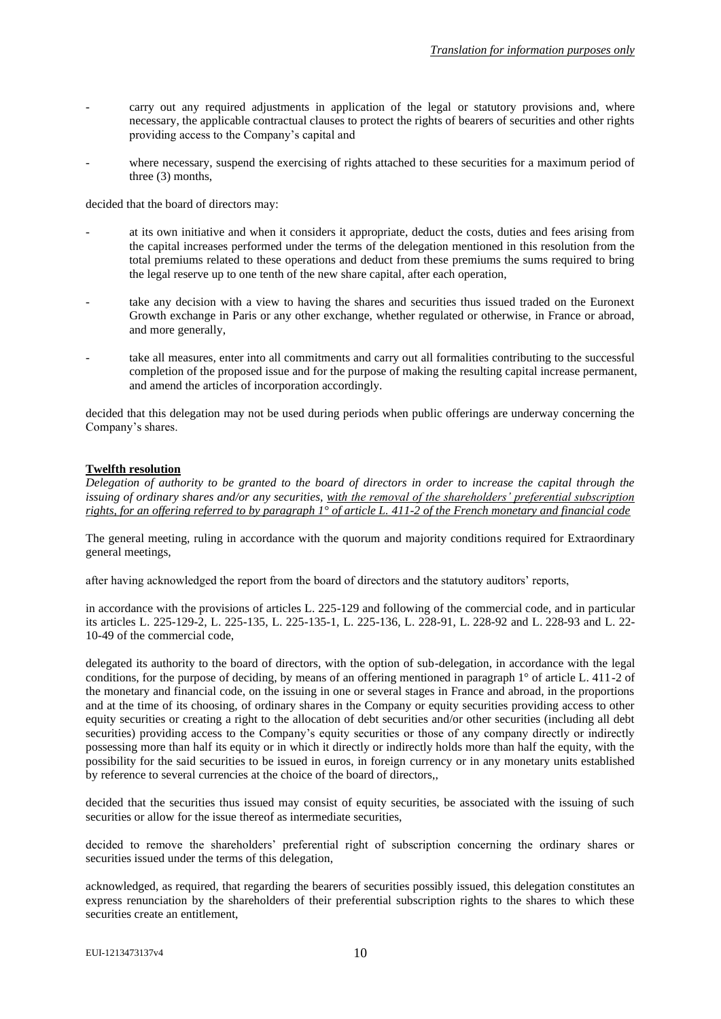- carry out any required adjustments in application of the legal or statutory provisions and, where necessary, the applicable contractual clauses to protect the rights of bearers of securities and other rights providing access to the Company's capital and
- where necessary, suspend the exercising of rights attached to these securities for a maximum period of three (3) months,

decided that the board of directors may:

- at its own initiative and when it considers it appropriate, deduct the costs, duties and fees arising from the capital increases performed under the terms of the delegation mentioned in this resolution from the total premiums related to these operations and deduct from these premiums the sums required to bring the legal reserve up to one tenth of the new share capital, after each operation,
- take any decision with a view to having the shares and securities thus issued traded on the Euronext Growth exchange in Paris or any other exchange, whether regulated or otherwise, in France or abroad, and more generally,
- take all measures, enter into all commitments and carry out all formalities contributing to the successful completion of the proposed issue and for the purpose of making the resulting capital increase permanent, and amend the articles of incorporation accordingly.

decided that this delegation may not be used during periods when public offerings are underway concerning the Company's shares.

## <span id="page-9-0"></span>**Twelfth resolution**

*Delegation of authority to be granted to the board of directors in order to increase the capital through the issuing of ordinary shares and/or any securities, with the removal of the shareholders' preferential subscription rights, for an offering referred to by paragraph 1° of article L. 411-2 of the French monetary and financial code*

The general meeting, ruling in accordance with the quorum and majority conditions required for Extraordinary general meetings,

after having acknowledged the report from the board of directors and the statutory auditors' reports,

in accordance with the provisions of articles L. 225-129 and following of the commercial code, and in particular its articles L. 225-129-2, L. 225-135, L. 225-135-1, L. 225-136, L. 228-91, L. 228-92 and L. 228-93 and L. 22- 10-49 of the commercial code,

delegated its authority to the board of directors, with the option of sub-delegation, in accordance with the legal conditions, for the purpose of deciding, by means of an offering mentioned in paragraph 1° of article L. 411-2 of the monetary and financial code, on the issuing in one or several stages in France and abroad, in the proportions and at the time of its choosing, of ordinary shares in the Company or equity securities providing access to other equity securities or creating a right to the allocation of debt securities and/or other securities (including all debt securities) providing access to the Company's equity securities or those of any company directly or indirectly possessing more than half its equity or in which it directly or indirectly holds more than half the equity, with the possibility for the said securities to be issued in euros, in foreign currency or in any monetary units established by reference to several currencies at the choice of the board of directors,,

decided that the securities thus issued may consist of equity securities, be associated with the issuing of such securities or allow for the issue thereof as intermediate securities.

decided to remove the shareholders' preferential right of subscription concerning the ordinary shares or securities issued under the terms of this delegation,

acknowledged, as required, that regarding the bearers of securities possibly issued, this delegation constitutes an express renunciation by the shareholders of their preferential subscription rights to the shares to which these securities create an entitlement,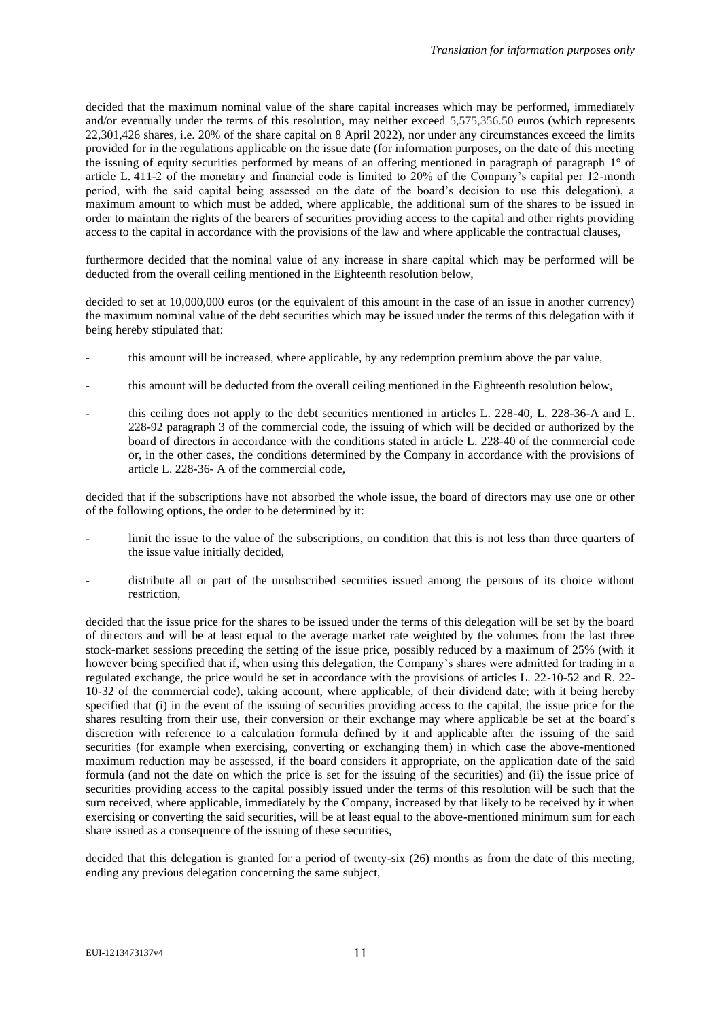decided that the maximum nominal value of the share capital increases which may be performed, immediately and/or eventually under the terms of this resolution, may neither exceed 5,575,356.50 euros (which represents 22,301,426 shares, i.e. 20% of the share capital on 8 April 2022), nor under any circumstances exceed the limits provided for in the regulations applicable on the issue date (for information purposes, on the date of this meeting the issuing of equity securities performed by means of an offering mentioned in paragraph of paragraph 1° of article L. 411-2 of the monetary and financial code is limited to 20% of the Company's capital per 12-month period, with the said capital being assessed on the date of the board's decision to use this delegation), a maximum amount to which must be added, where applicable, the additional sum of the shares to be issued in order to maintain the rights of the bearers of securities providing access to the capital and other rights providing access to the capital in accordance with the provisions of the law and where applicable the contractual clauses,

furthermore decided that the nominal value of any increase in share capital which may be performed will be deducted from the overall ceiling mentioned in the [Eighteenth](#page-19-0) resolution below,

decided to set at 10,000,000 euros (or the equivalent of this amount in the case of an issue in another currency) the maximum nominal value of the debt securities which may be issued under the terms of this delegation with it being hereby stipulated that:

- this amount will be increased, where applicable, by any redemption premium above the par value,
- this amount will be deducted from the overall ceiling mentioned in the [Eighteenth](#page-19-0) resolution below,
- this ceiling does not apply to the debt securities mentioned in articles L. 228-40, L. 228-36-A and L. 228-92 paragraph 3 of the commercial code, the issuing of which will be decided or authorized by the board of directors in accordance with the conditions stated in article L. 228-40 of the commercial code or, in the other cases, the conditions determined by the Company in accordance with the provisions of article L. 228-36- A of the commercial code,

decided that if the subscriptions have not absorbed the whole issue, the board of directors may use one or other of the following options, the order to be determined by it:

- limit the issue to the value of the subscriptions, on condition that this is not less than three quarters of the issue value initially decided,
- distribute all or part of the unsubscribed securities issued among the persons of its choice without restriction,

decided that the issue price for the shares to be issued under the terms of this delegation will be set by the board of directors and will be at least equal to the average market rate weighted by the volumes from the last three stock-market sessions preceding the setting of the issue price, possibly reduced by a maximum of 25% (with it however being specified that if, when using this delegation, the Company's shares were admitted for trading in a regulated exchange, the price would be set in accordance with the provisions of articles L. 22-10-52 and R. 22- 10-32 of the commercial code), taking account, where applicable, of their dividend date; with it being hereby specified that (i) in the event of the issuing of securities providing access to the capital, the issue price for the shares resulting from their use, their conversion or their exchange may where applicable be set at the board's discretion with reference to a calculation formula defined by it and applicable after the issuing of the said securities (for example when exercising, converting or exchanging them) in which case the above-mentioned maximum reduction may be assessed, if the board considers it appropriate, on the application date of the said formula (and not the date on which the price is set for the issuing of the securities) and (ii) the issue price of securities providing access to the capital possibly issued under the terms of this resolution will be such that the sum received, where applicable, immediately by the Company, increased by that likely to be received by it when exercising or converting the said securities, will be at least equal to the above-mentioned minimum sum for each share issued as a consequence of the issuing of these securities,

decided that this delegation is granted for a period of twenty-six (26) months as from the date of this meeting, ending any previous delegation concerning the same subject,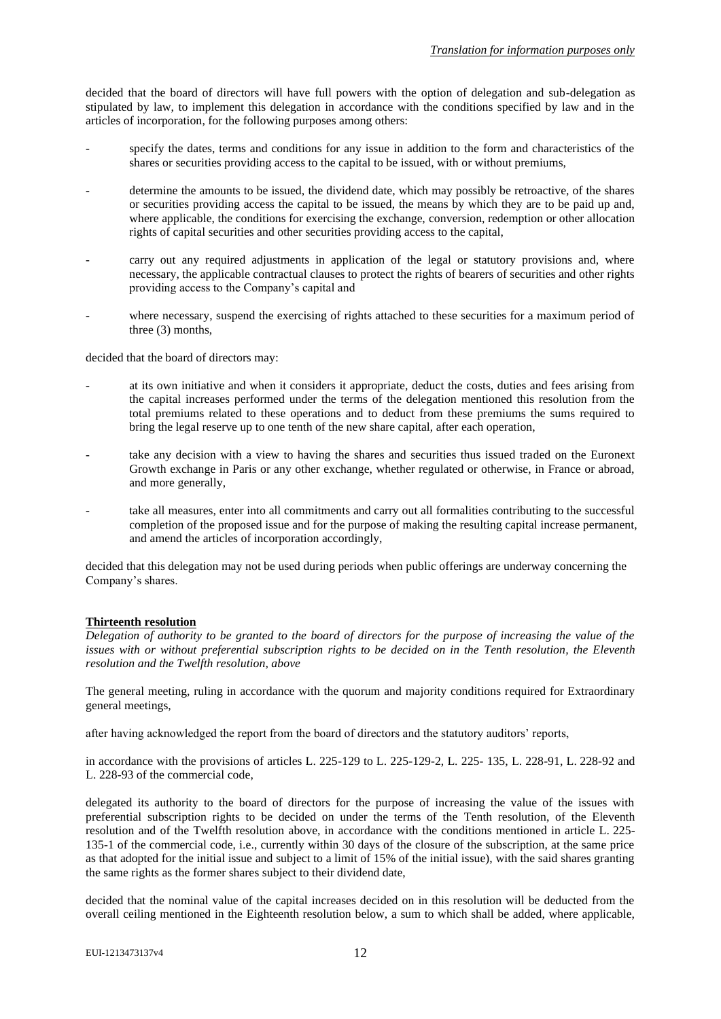decided that the board of directors will have full powers with the option of delegation and sub-delegation as stipulated by law, to implement this delegation in accordance with the conditions specified by law and in the articles of incorporation, for the following purposes among others:

- specify the dates, terms and conditions for any issue in addition to the form and characteristics of the shares or securities providing access to the capital to be issued, with or without premiums,
- determine the amounts to be issued, the dividend date, which may possibly be retroactive, of the shares or securities providing access the capital to be issued, the means by which they are to be paid up and, where applicable, the conditions for exercising the exchange, conversion, redemption or other allocation rights of capital securities and other securities providing access to the capital,
- carry out any required adjustments in application of the legal or statutory provisions and, where necessary, the applicable contractual clauses to protect the rights of bearers of securities and other rights providing access to the Company's capital and
- where necessary, suspend the exercising of rights attached to these securities for a maximum period of three (3) months,

decided that the board of directors may:

- at its own initiative and when it considers it appropriate, deduct the costs, duties and fees arising from the capital increases performed under the terms of the delegation mentioned this resolution from the total premiums related to these operations and to deduct from these premiums the sums required to bring the legal reserve up to one tenth of the new share capital, after each operation,
- take any decision with a view to having the shares and securities thus issued traded on the Euronext Growth exchange in Paris or any other exchange, whether regulated or otherwise, in France or abroad, and more generally,
- take all measures, enter into all commitments and carry out all formalities contributing to the successful completion of the proposed issue and for the purpose of making the resulting capital increase permanent, and amend the articles of incorporation accordingly,

decided that this delegation may not be used during periods when public offerings are underway concerning the Company's shares.

## **Thirteenth resolution**

*Delegation of authority to be granted to the board of directors for the purpose of increasing the value of the issues with or without preferential subscription rights to be decided on in the [Tenth resolution,](#page-5-0) the [Eleventh](#page-7-0)  [resolution](#page-7-0) and the [Twelfth resolution,](#page-9-0) above*

The general meeting, ruling in accordance with the quorum and majority conditions required for Extraordinary general meetings,

after having acknowledged the report from the board of directors and the statutory auditors' reports,

in accordance with the provisions of articles L. 225-129 to L. 225-129-2, L. 225- 135, L. 228-91, L. 228-92 and L. 228-93 of the commercial code,

delegated its authority to the board of directors for the purpose of increasing the value of the issues with preferential subscription rights to be decided on under the terms of the [Tenth resolution,](#page-5-0) of the [Eleventh](#page-7-0)  [resolution](#page-7-0) and of the [Twelfth resolution](#page-9-0) above, in accordance with the conditions mentioned in article L. 225- 135-1 of the commercial code, i.e., currently within 30 days of the closure of the subscription, at the same price as that adopted for the initial issue and subject to a limit of 15% of the initial issue), with the said shares granting the same rights as the former shares subject to their dividend date,

decided that the nominal value of the capital increases decided on in this resolution will be deducted from the overall ceiling mentioned in the [Eighteenth resolution](#page-19-0) below, a sum to which shall be added, where applicable,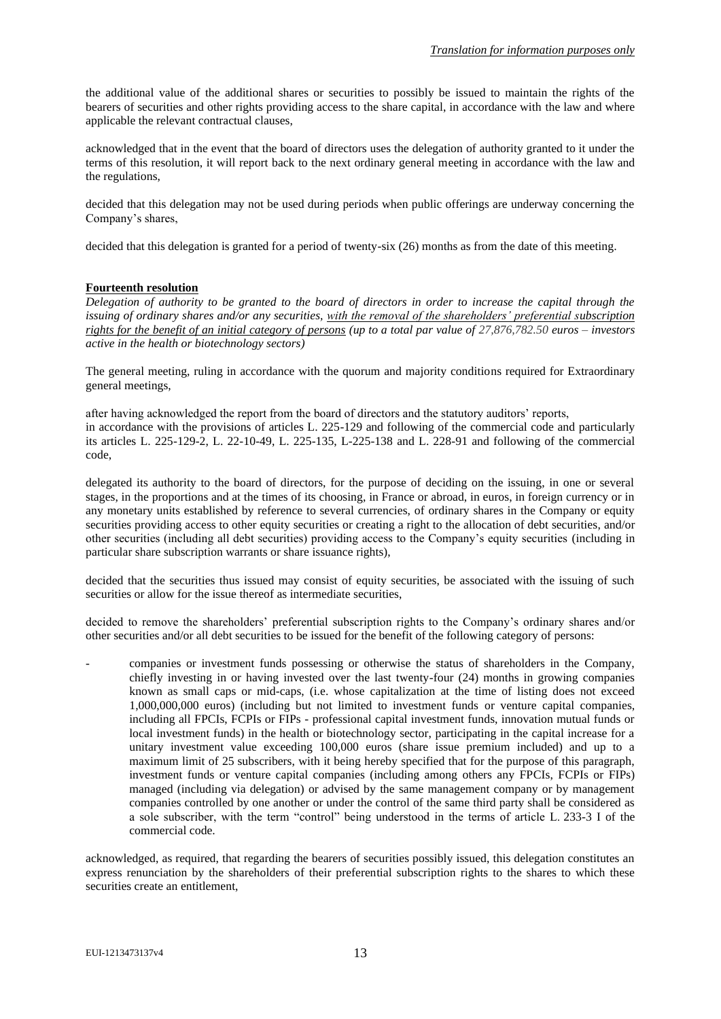the additional value of the additional shares or securities to possibly be issued to maintain the rights of the bearers of securities and other rights providing access to the share capital, in accordance with the law and where applicable the relevant contractual clauses,

acknowledged that in the event that the board of directors uses the delegation of authority granted to it under the terms of this resolution, it will report back to the next ordinary general meeting in accordance with the law and the regulations,

decided that this delegation may not be used during periods when public offerings are underway concerning the Company's shares,

decided that this delegation is granted for a period of twenty-six (26) months as from the date of this meeting.

## **Fourteenth resolution**

*Delegation of authority to be granted to the board of directors in order to increase the capital through the issuing of ordinary shares and/or any securities, with the removal of the shareholders' preferential subscription rights for the benefit of an initial category of persons (up to a total par value of 27,876,782.50 euros – investors active in the health or biotechnology sectors)*

The general meeting, ruling in accordance with the quorum and majority conditions required for Extraordinary general meetings,

after having acknowledged the report from the board of directors and the statutory auditors' reports, in accordance with the provisions of articles L. 225-129 and following of the commercial code and particularly its articles L. 225-129-2, L. 22-10-49, L. 225-135, L-225-138 and L. 228-91 and following of the commercial code,

delegated its authority to the board of directors, for the purpose of deciding on the issuing, in one or several stages, in the proportions and at the times of its choosing, in France or abroad, in euros, in foreign currency or in any monetary units established by reference to several currencies, of ordinary shares in the Company or equity securities providing access to other equity securities or creating a right to the allocation of debt securities, and/or other securities (including all debt securities) providing access to the Company's equity securities (including in particular share subscription warrants or share issuance rights),

decided that the securities thus issued may consist of equity securities, be associated with the issuing of such securities or allow for the issue thereof as intermediate securities.

decided to remove the shareholders' preferential subscription rights to the Company's ordinary shares and/or other securities and/or all debt securities to be issued for the benefit of the following category of persons:

companies or investment funds possessing or otherwise the status of shareholders in the Company, chiefly investing in or having invested over the last twenty-four (24) months in growing companies known as small caps or mid-caps, (i.e. whose capitalization at the time of listing does not exceed 1,000,000,000 euros) (including but not limited to investment funds or venture capital companies, including all FPCIs, FCPIs or FIPs - professional capital investment funds, innovation mutual funds or local investment funds) in the health or biotechnology sector, participating in the capital increase for a unitary investment value exceeding 100,000 euros (share issue premium included) and up to a maximum limit of 25 subscribers, with it being hereby specified that for the purpose of this paragraph, investment funds or venture capital companies (including among others any FPCIs, FCPIs or FIPs) managed (including via delegation) or advised by the same management company or by management companies controlled by one another or under the control of the same third party shall be considered as a sole subscriber, with the term "control" being understood in the terms of article L. 233-3 I of the commercial code.

acknowledged, as required, that regarding the bearers of securities possibly issued, this delegation constitutes an express renunciation by the shareholders of their preferential subscription rights to the shares to which these securities create an entitlement.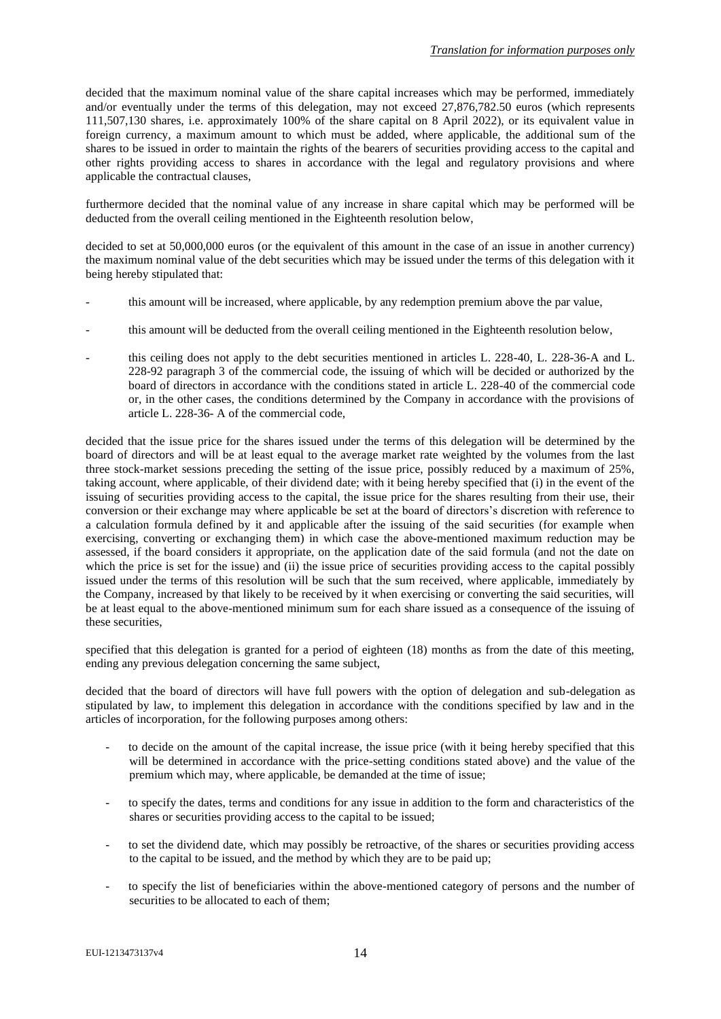decided that the maximum nominal value of the share capital increases which may be performed, immediately and/or eventually under the terms of this delegation, may not exceed 27,876,782.50 euros (which represents 111,507,130 shares, i.e. approximately 100% of the share capital on 8 April 2022), or its equivalent value in foreign currency, a maximum amount to which must be added, where applicable, the additional sum of the shares to be issued in order to maintain the rights of the bearers of securities providing access to the capital and other rights providing access to shares in accordance with the legal and regulatory provisions and where applicable the contractual clauses,

furthermore decided that the nominal value of any increase in share capital which may be performed will be deducted from the overall ceiling mentioned in the [Eighteenth](#page-19-0) resolution below,

decided to set at 50,000,000 euros (or the equivalent of this amount in the case of an issue in another currency) the maximum nominal value of the debt securities which may be issued under the terms of this delegation with it being hereby stipulated that:

- this amount will be increased, where applicable, by any redemption premium above the par value,
- this amount will be deducted from the overall ceiling mentioned in the [Eighteenth resolution](#page-19-0) below,
- this ceiling does not apply to the debt securities mentioned in articles L. 228-40, L. 228-36-A and L. 228-92 paragraph 3 of the commercial code, the issuing of which will be decided or authorized by the board of directors in accordance with the conditions stated in article L. 228-40 of the commercial code or, in the other cases, the conditions determined by the Company in accordance with the provisions of article L. 228-36- A of the commercial code,

decided that the issue price for the shares issued under the terms of this delegation will be determined by the board of directors and will be at least equal to the average market rate weighted by the volumes from the last three stock-market sessions preceding the setting of the issue price, possibly reduced by a maximum of 25%, taking account, where applicable, of their dividend date; with it being hereby specified that (i) in the event of the issuing of securities providing access to the capital, the issue price for the shares resulting from their use, their conversion or their exchange may where applicable be set at the board of directors's discretion with reference to a calculation formula defined by it and applicable after the issuing of the said securities (for example when exercising, converting or exchanging them) in which case the above-mentioned maximum reduction may be assessed, if the board considers it appropriate, on the application date of the said formula (and not the date on which the price is set for the issue) and (ii) the issue price of securities providing access to the capital possibly issued under the terms of this resolution will be such that the sum received, where applicable, immediately by the Company, increased by that likely to be received by it when exercising or converting the said securities, will be at least equal to the above-mentioned minimum sum for each share issued as a consequence of the issuing of these securities,

specified that this delegation is granted for a period of eighteen (18) months as from the date of this meeting, ending any previous delegation concerning the same subject,

decided that the board of directors will have full powers with the option of delegation and sub-delegation as stipulated by law, to implement this delegation in accordance with the conditions specified by law and in the articles of incorporation, for the following purposes among others:

- to decide on the amount of the capital increase, the issue price (with it being hereby specified that this will be determined in accordance with the price-setting conditions stated above) and the value of the premium which may, where applicable, be demanded at the time of issue;
- to specify the dates, terms and conditions for any issue in addition to the form and characteristics of the shares or securities providing access to the capital to be issued;
- to set the dividend date, which may possibly be retroactive, of the shares or securities providing access to the capital to be issued, and the method by which they are to be paid up;
- to specify the list of beneficiaries within the above-mentioned category of persons and the number of securities to be allocated to each of them;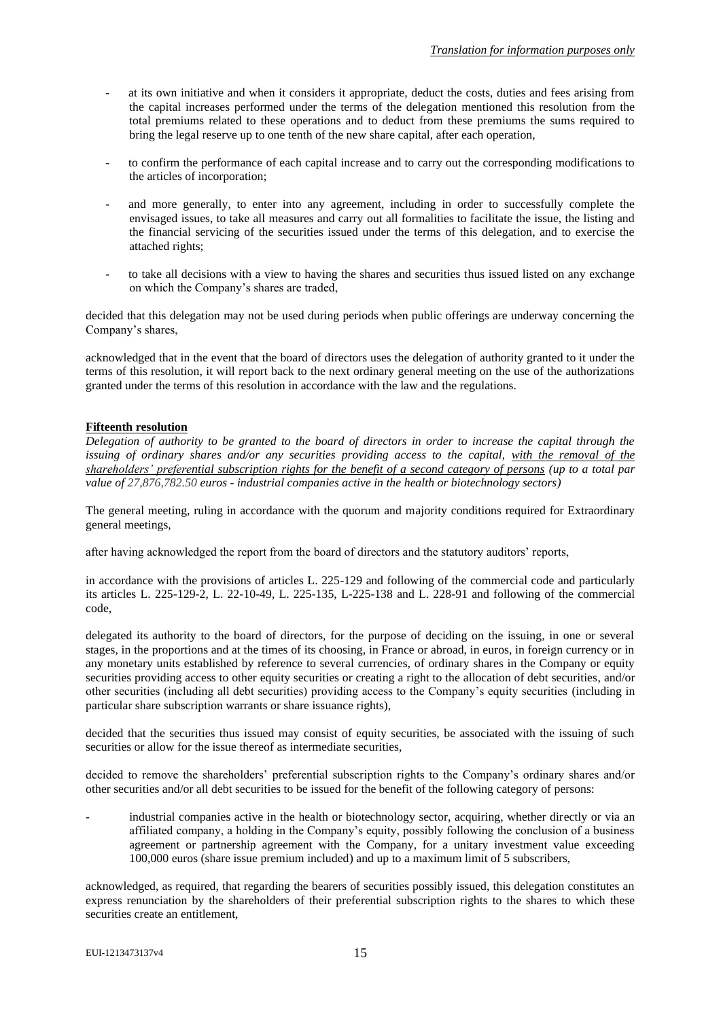- at its own initiative and when it considers it appropriate, deduct the costs, duties and fees arising from the capital increases performed under the terms of the delegation mentioned this resolution from the total premiums related to these operations and to deduct from these premiums the sums required to bring the legal reserve up to one tenth of the new share capital, after each operation,
- to confirm the performance of each capital increase and to carry out the corresponding modifications to the articles of incorporation;
- and more generally, to enter into any agreement, including in order to successfully complete the envisaged issues, to take all measures and carry out all formalities to facilitate the issue, the listing and the financial servicing of the securities issued under the terms of this delegation, and to exercise the attached rights;
- to take all decisions with a view to having the shares and securities thus issued listed on any exchange on which the Company's shares are traded,

decided that this delegation may not be used during periods when public offerings are underway concerning the Company's shares,

acknowledged that in the event that the board of directors uses the delegation of authority granted to it under the terms of this resolution, it will report back to the next ordinary general meeting on the use of the authorizations granted under the terms of this resolution in accordance with the law and the regulations.

## **Fifteenth resolution**

*Delegation of authority to be granted to the board of directors in order to increase the capital through the issuing of ordinary shares and/or any securities providing access to the capital, with the removal of the shareholders' preferential subscription rights for the benefit of a second category of persons (up to a total par value of 27,876,782.50 euros - industrial companies active in the health or biotechnology sectors)*

The general meeting, ruling in accordance with the quorum and majority conditions required for Extraordinary general meetings,

after having acknowledged the report from the board of directors and the statutory auditors' reports,

in accordance with the provisions of articles L. 225-129 and following of the commercial code and particularly its articles L. 225-129-2, L. 22-10-49, L. 225-135, L-225-138 and L. 228-91 and following of the commercial code,

delegated its authority to the board of directors, for the purpose of deciding on the issuing, in one or several stages, in the proportions and at the times of its choosing, in France or abroad, in euros, in foreign currency or in any monetary units established by reference to several currencies, of ordinary shares in the Company or equity securities providing access to other equity securities or creating a right to the allocation of debt securities, and/or other securities (including all debt securities) providing access to the Company's equity securities (including in particular share subscription warrants or share issuance rights),

decided that the securities thus issued may consist of equity securities, be associated with the issuing of such securities or allow for the issue thereof as intermediate securities,

decided to remove the shareholders' preferential subscription rights to the Company's ordinary shares and/or other securities and/or all debt securities to be issued for the benefit of the following category of persons:

industrial companies active in the health or biotechnology sector, acquiring, whether directly or via an affiliated company, a holding in the Company's equity, possibly following the conclusion of a business agreement or partnership agreement with the Company, for a unitary investment value exceeding 100,000 euros (share issue premium included) and up to a maximum limit of 5 subscribers,

acknowledged, as required, that regarding the bearers of securities possibly issued, this delegation constitutes an express renunciation by the shareholders of their preferential subscription rights to the shares to which these securities create an entitlement.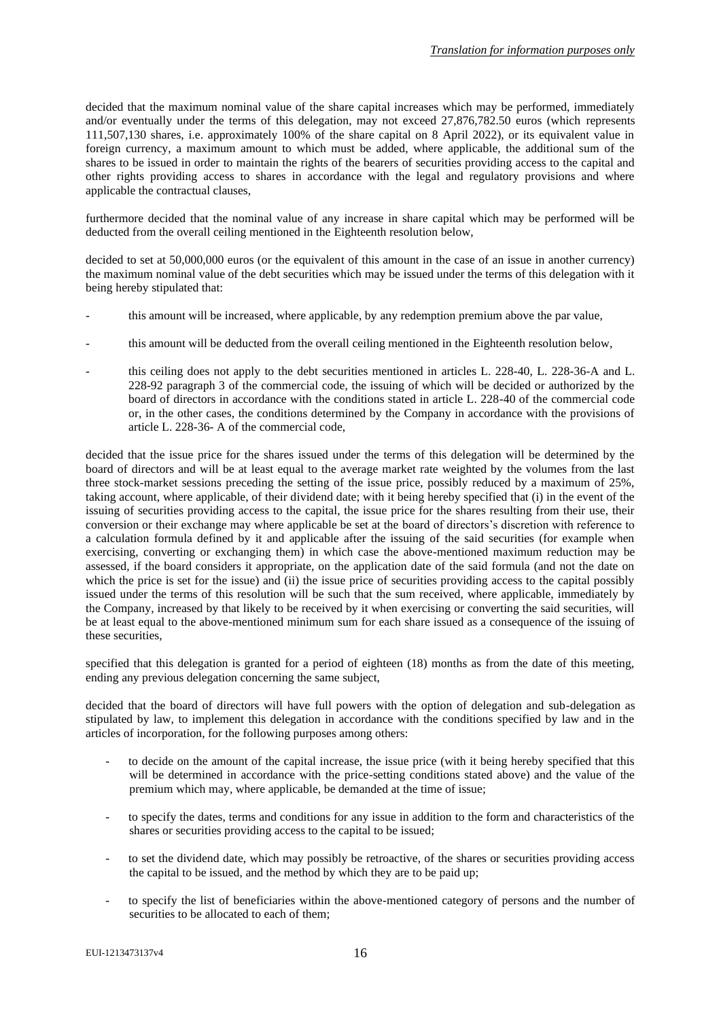decided that the maximum nominal value of the share capital increases which may be performed, immediately and/or eventually under the terms of this delegation, may not exceed 27,876,782.50 euros (which represents 111,507,130 shares, i.e. approximately 100% of the share capital on 8 April 2022), or its equivalent value in foreign currency, a maximum amount to which must be added, where applicable, the additional sum of the shares to be issued in order to maintain the rights of the bearers of securities providing access to the capital and other rights providing access to shares in accordance with the legal and regulatory provisions and where applicable the contractual clauses,

furthermore decided that the nominal value of any increase in share capital which may be performed will be deducted from the overall ceiling mentioned in the [Eighteenth](#page-19-0) resolution below,

decided to set at 50,000,000 euros (or the equivalent of this amount in the case of an issue in another currency) the maximum nominal value of the debt securities which may be issued under the terms of this delegation with it being hereby stipulated that:

- this amount will be increased, where applicable, by any redemption premium above the par value,
- this amount will be deducted from the overall ceiling mentioned in the [Eighteenth](#page-19-0) resolution below,
- this ceiling does not apply to the debt securities mentioned in articles L. 228-40, L. 228-36-A and L. 228-92 paragraph 3 of the commercial code, the issuing of which will be decided or authorized by the board of directors in accordance with the conditions stated in article L. 228-40 of the commercial code or, in the other cases, the conditions determined by the Company in accordance with the provisions of article L. 228-36- A of the commercial code,

decided that the issue price for the shares issued under the terms of this delegation will be determined by the board of directors and will be at least equal to the average market rate weighted by the volumes from the last three stock-market sessions preceding the setting of the issue price, possibly reduced by a maximum of 25%, taking account, where applicable, of their dividend date; with it being hereby specified that (i) in the event of the issuing of securities providing access to the capital, the issue price for the shares resulting from their use, their conversion or their exchange may where applicable be set at the board of directors's discretion with reference to a calculation formula defined by it and applicable after the issuing of the said securities (for example when exercising, converting or exchanging them) in which case the above-mentioned maximum reduction may be assessed, if the board considers it appropriate, on the application date of the said formula (and not the date on which the price is set for the issue) and (ii) the issue price of securities providing access to the capital possibly issued under the terms of this resolution will be such that the sum received, where applicable, immediately by the Company, increased by that likely to be received by it when exercising or converting the said securities, will be at least equal to the above-mentioned minimum sum for each share issued as a consequence of the issuing of these securities,

specified that this delegation is granted for a period of eighteen (18) months as from the date of this meeting, ending any previous delegation concerning the same subject,

decided that the board of directors will have full powers with the option of delegation and sub-delegation as stipulated by law, to implement this delegation in accordance with the conditions specified by law and in the articles of incorporation, for the following purposes among others:

- to decide on the amount of the capital increase, the issue price (with it being hereby specified that this will be determined in accordance with the price-setting conditions stated above) and the value of the premium which may, where applicable, be demanded at the time of issue;
- to specify the dates, terms and conditions for any issue in addition to the form and characteristics of the shares or securities providing access to the capital to be issued;
- to set the dividend date, which may possibly be retroactive, of the shares or securities providing access the capital to be issued, and the method by which they are to be paid up;
- to specify the list of beneficiaries within the above-mentioned category of persons and the number of securities to be allocated to each of them: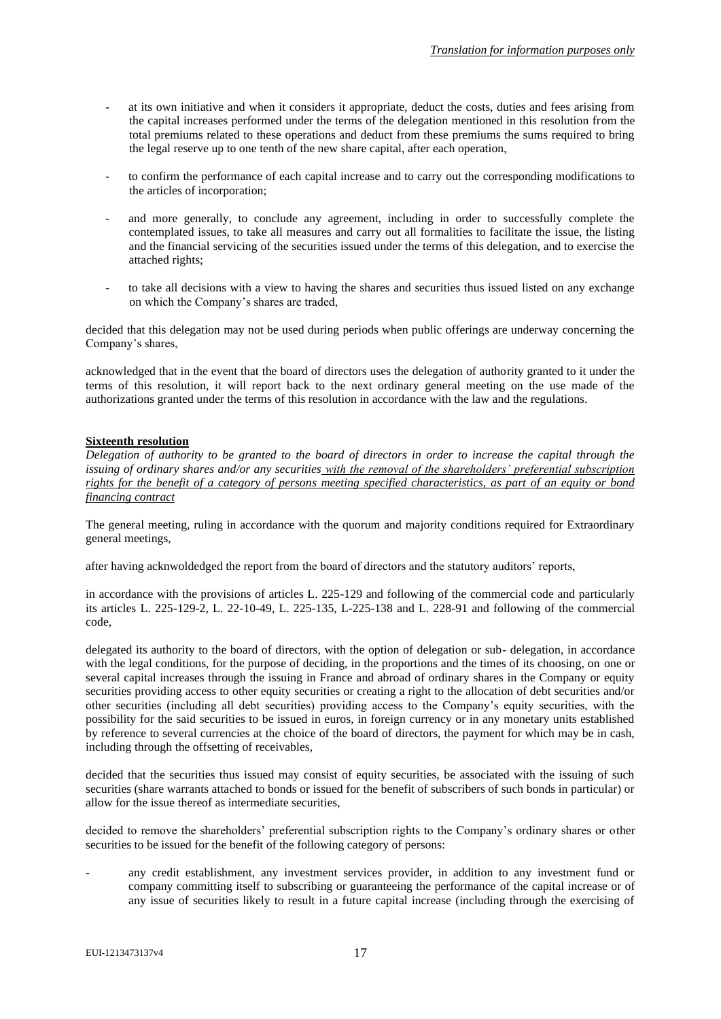- at its own initiative and when it considers it appropriate, deduct the costs, duties and fees arising from the capital increases performed under the terms of the delegation mentioned in this resolution from the total premiums related to these operations and deduct from these premiums the sums required to bring the legal reserve up to one tenth of the new share capital, after each operation,
- to confirm the performance of each capital increase and to carry out the corresponding modifications to the articles of incorporation;
- and more generally, to conclude any agreement, including in order to successfully complete the contemplated issues, to take all measures and carry out all formalities to facilitate the issue, the listing and the financial servicing of the securities issued under the terms of this delegation, and to exercise the attached rights;
- to take all decisions with a view to having the shares and securities thus issued listed on any exchange on which the Company's shares are traded,

decided that this delegation may not be used during periods when public offerings are underway concerning the Company's shares,

acknowledged that in the event that the board of directors uses the delegation of authority granted to it under the terms of this resolution, it will report back to the next ordinary general meeting on the use made of the authorizations granted under the terms of this resolution in accordance with the law and the regulations.

## **Sixteenth resolution**

*Delegation of authority to be granted to the board of directors in order to increase the capital through the issuing of ordinary shares and/or any securities with the removal of the shareholders' preferential subscription rights for the benefit of a category of persons meeting specified characteristics, as part of an equity or bond financing contract*

The general meeting, ruling in accordance with the quorum and majority conditions required for Extraordinary general meetings,

after having acknwoldedged the report from the board of directors and the statutory auditors' reports,

in accordance with the provisions of articles L. 225-129 and following of the commercial code and particularly its articles L. 225-129-2, L. 22-10-49, L. 225-135, L-225-138 and L. 228-91 and following of the commercial code,

delegated its authority to the board of directors, with the option of delegation or sub- delegation, in accordance with the legal conditions, for the purpose of deciding, in the proportions and the times of its choosing, on one or several capital increases through the issuing in France and abroad of ordinary shares in the Company or equity securities providing access to other equity securities or creating a right to the allocation of debt securities and/or other securities (including all debt securities) providing access to the Company's equity securities, with the possibility for the said securities to be issued in euros, in foreign currency or in any monetary units established by reference to several currencies at the choice of the board of directors, the payment for which may be in cash, including through the offsetting of receivables,

decided that the securities thus issued may consist of equity securities, be associated with the issuing of such securities (share warrants attached to bonds or issued for the benefit of subscribers of such bonds in particular) or allow for the issue thereof as intermediate securities,

decided to remove the shareholders' preferential subscription rights to the Company's ordinary shares or other securities to be issued for the benefit of the following category of persons:

any credit establishment, any investment services provider, in addition to any investment fund or company committing itself to subscribing or guaranteeing the performance of the capital increase or of any issue of securities likely to result in a future capital increase (including through the exercising of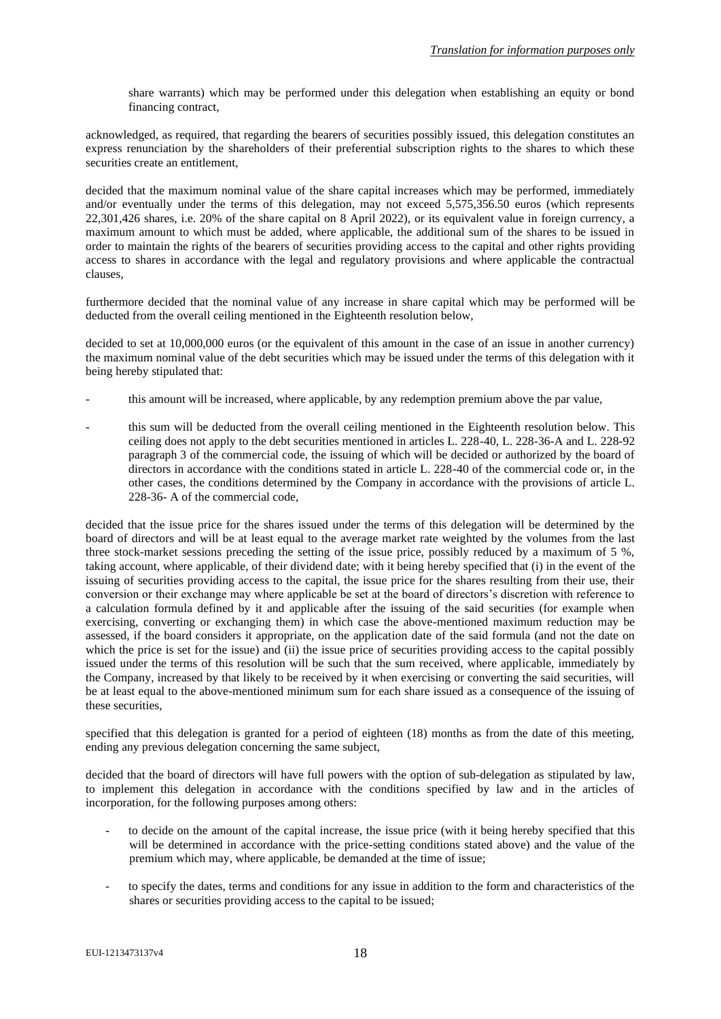share warrants) which may be performed under this delegation when establishing an equity or bond financing contract,

acknowledged, as required, that regarding the bearers of securities possibly issued, this delegation constitutes an express renunciation by the shareholders of their preferential subscription rights to the shares to which these securities create an entitlement,

decided that the maximum nominal value of the share capital increases which may be performed, immediately and/or eventually under the terms of this delegation, may not exceed 5,575,356.50 euros (which represents 22,301,426 shares, i.e. 20% of the share capital on 8 April 2022), or its equivalent value in foreign currency, a maximum amount to which must be added, where applicable, the additional sum of the shares to be issued in order to maintain the rights of the bearers of securities providing access to the capital and other rights providing access to shares in accordance with the legal and regulatory provisions and where applicable the contractual clauses,

furthermore decided that the nominal value of any increase in share capital which may be performed will be deducted from the overall ceiling mentioned in the [Eighteenth](#page-19-0) resolution below,

decided to set at 10,000,000 euros (or the equivalent of this amount in the case of an issue in another currency) the maximum nominal value of the debt securities which may be issued under the terms of this delegation with it being hereby stipulated that:

- this amount will be increased, where applicable, by any redemption premium above the par value,
- this sum will be deducted from the overall ceiling mentioned in the [Eighteenth](#page-19-0) resolution below. This ceiling does not apply to the debt securities mentioned in articles L. 228-40, L. 228-36-A and L. 228-92 paragraph 3 of the commercial code, the issuing of which will be decided or authorized by the board of directors in accordance with the conditions stated in article L. 228-40 of the commercial code or, in the other cases, the conditions determined by the Company in accordance with the provisions of article L. 228-36- A of the commercial code,

decided that the issue price for the shares issued under the terms of this delegation will be determined by the board of directors and will be at least equal to the average market rate weighted by the volumes from the last three stock-market sessions preceding the setting of the issue price, possibly reduced by a maximum of 5 %, taking account, where applicable, of their dividend date; with it being hereby specified that (i) in the event of the issuing of securities providing access to the capital, the issue price for the shares resulting from their use, their conversion or their exchange may where applicable be set at the board of directors's discretion with reference to a calculation formula defined by it and applicable after the issuing of the said securities (for example when exercising, converting or exchanging them) in which case the above-mentioned maximum reduction may be assessed, if the board considers it appropriate, on the application date of the said formula (and not the date on which the price is set for the issue) and (ii) the issue price of securities providing access to the capital possibly issued under the terms of this resolution will be such that the sum received, where applicable, immediately by the Company, increased by that likely to be received by it when exercising or converting the said securities, will be at least equal to the above-mentioned minimum sum for each share issued as a consequence of the issuing of these securities,

specified that this delegation is granted for a period of eighteen (18) months as from the date of this meeting, ending any previous delegation concerning the same subject,

decided that the board of directors will have full powers with the option of sub-delegation as stipulated by law, to implement this delegation in accordance with the conditions specified by law and in the articles of incorporation, for the following purposes among others:

- to decide on the amount of the capital increase, the issue price (with it being hereby specified that this will be determined in accordance with the price-setting conditions stated above) and the value of the premium which may, where applicable, be demanded at the time of issue;
- to specify the dates, terms and conditions for any issue in addition to the form and characteristics of the shares or securities providing access to the capital to be issued;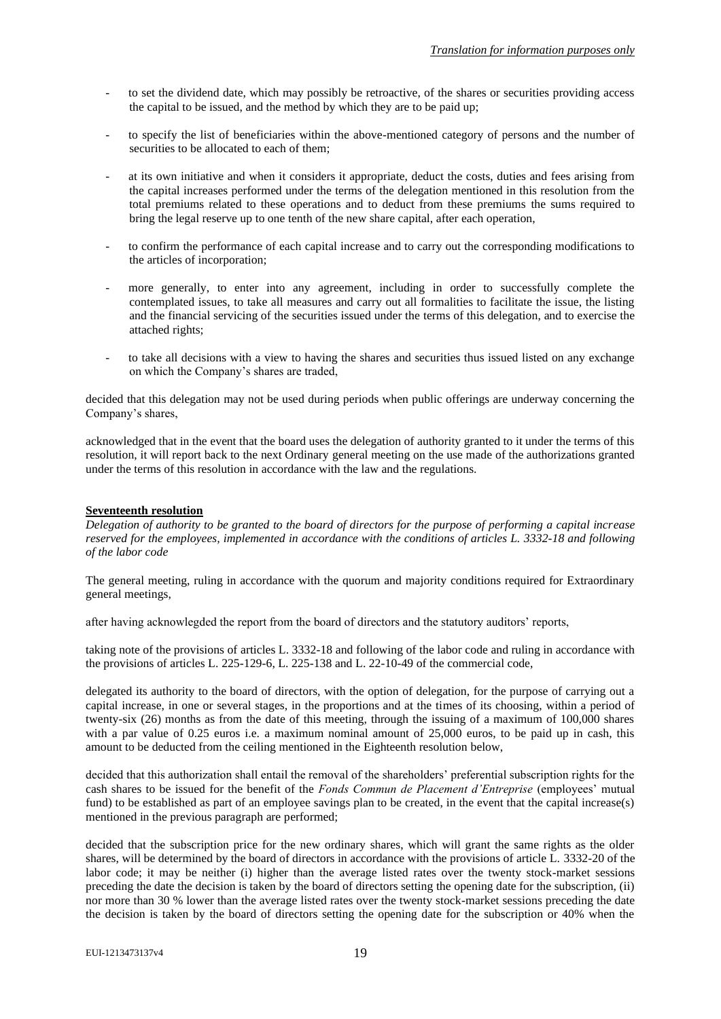- to set the dividend date, which may possibly be retroactive, of the shares or securities providing access the capital to be issued, and the method by which they are to be paid up;
- to specify the list of beneficiaries within the above-mentioned category of persons and the number of securities to be allocated to each of them:
- at its own initiative and when it considers it appropriate, deduct the costs, duties and fees arising from the capital increases performed under the terms of the delegation mentioned in this resolution from the total premiums related to these operations and to deduct from these premiums the sums required to bring the legal reserve up to one tenth of the new share capital, after each operation,
- to confirm the performance of each capital increase and to carry out the corresponding modifications to the articles of incorporation;
- more generally, to enter into any agreement, including in order to successfully complete the contemplated issues, to take all measures and carry out all formalities to facilitate the issue, the listing and the financial servicing of the securities issued under the terms of this delegation, and to exercise the attached rights;
- to take all decisions with a view to having the shares and securities thus issued listed on any exchange on which the Company's shares are traded,

decided that this delegation may not be used during periods when public offerings are underway concerning the Company's shares,

acknowledged that in the event that the board uses the delegation of authority granted to it under the terms of this resolution, it will report back to the next Ordinary general meeting on the use made of the authorizations granted under the terms of this resolution in accordance with the law and the regulations.

# **Seventeenth resolution**

*Delegation of authority to be granted to the board of directors for the purpose of performing a capital increase reserved for the employees, implemented in accordance with the conditions of articles L. 3332-18 and following of the labor code* 

The general meeting, ruling in accordance with the quorum and majority conditions required for Extraordinary general meetings,

after having acknowlegded the report from the board of directors and the statutory auditors' reports,

taking note of the provisions of articles L. 3332-18 and following of the labor code and ruling in accordance with the provisions of articles L. 225-129-6, L. 225-138 and L. 22-10-49 of the commercial code,

delegated its authority to the board of directors, with the option of delegation, for the purpose of carrying out a capital increase, in one or several stages, in the proportions and at the times of its choosing, within a period of twenty-six (26) months as from the date of this meeting, through the issuing of a maximum of 100,000 shares with a par value of 0.25 euros i.e. a maximum nominal amount of 25,000 euros, to be paid up in cash, this amount to be deducted from the ceiling mentioned in the [Eighteenth resolution](#page-19-0) below,

decided that this authorization shall entail the removal of the shareholders' preferential subscription rights for the cash shares to be issued for the benefit of the *Fonds Commun de Placement d'Entreprise* (employees' mutual fund) to be established as part of an employee savings plan to be created, in the event that the capital increase(s) mentioned in the previous paragraph are performed;

decided that the subscription price for the new ordinary shares, which will grant the same rights as the older shares, will be determined by the board of directors in accordance with the provisions of article L. 3332-20 of the labor code; it may be neither (i) higher than the average listed rates over the twenty stock-market sessions preceding the date the decision is taken by the board of directors setting the opening date for the subscription, (ii) nor more than 30 % lower than the average listed rates over the twenty stock-market sessions preceding the date the decision is taken by the board of directors setting the opening date for the subscription or 40% when the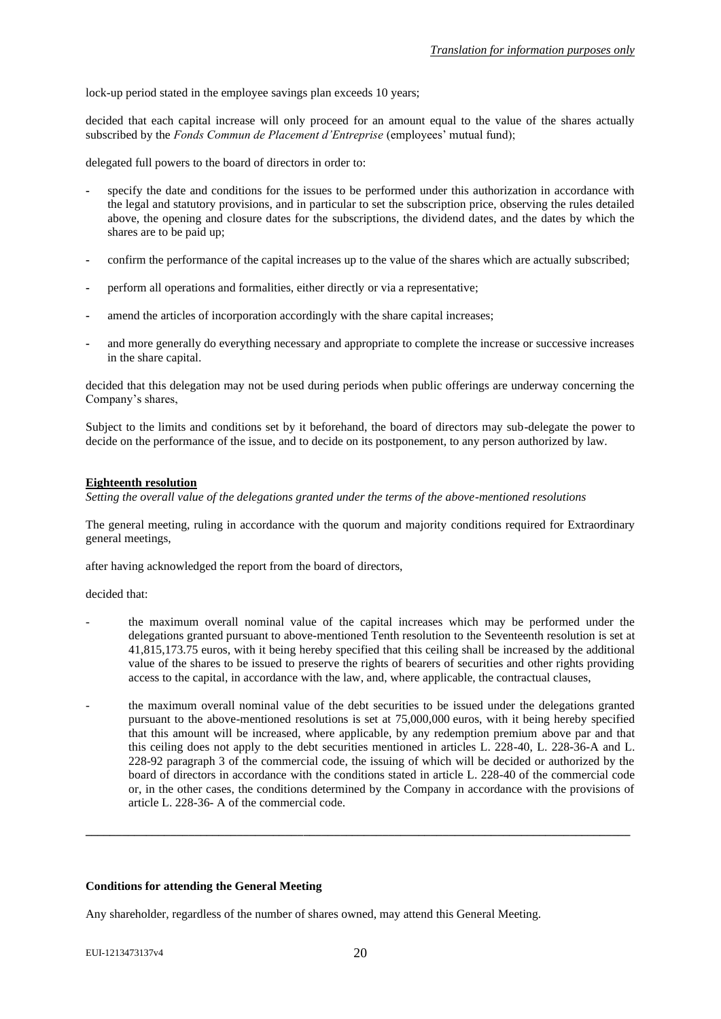lock-up period stated in the employee savings plan exceeds 10 years;

decided that each capital increase will only proceed for an amount equal to the value of the shares actually subscribed by the *Fonds Commun de Placement d'Entreprise* (employees' mutual fund);

delegated full powers to the board of directors in order to:

- **-** specify the date and conditions for the issues to be performed under this authorization in accordance with the legal and statutory provisions, and in particular to set the subscription price, observing the rules detailed above, the opening and closure dates for the subscriptions, the dividend dates, and the dates by which the shares are to be paid up;
- **-** confirm the performance of the capital increases up to the value of the shares which are actually subscribed;
- **-** perform all operations and formalities, either directly or via a representative;
- **-** amend the articles of incorporation accordingly with the share capital increases;
- **-** and more generally do everything necessary and appropriate to complete the increase or successive increases in the share capital.

decided that this delegation may not be used during periods when public offerings are underway concerning the Company's shares,

Subject to the limits and conditions set by it beforehand, the board of directors may sub-delegate the power to decide on the performance of the issue, and to decide on its postponement, to any person authorized by law.

## <span id="page-19-0"></span>**Eighteenth resolution**

*Setting the overall value of the delegations granted under the terms of the above-mentioned resolutions*

The general meeting, ruling in accordance with the quorum and majority conditions required for Extraordinary general meetings,

after having acknowledged the report from the board of directors,

decided that:

- the maximum overall nominal value of the capital increases which may be performed under the delegations granted pursuant to above-mentioned Tenth resolution to the Seventeenth resolution is set at 41,815,173.75 euros, with it being hereby specified that this ceiling shall be increased by the additional value of the shares to be issued to preserve the rights of bearers of securities and other rights providing access to the capital, in accordance with the law, and, where applicable, the contractual clauses,
- the maximum overall nominal value of the debt securities to be issued under the delegations granted pursuant to the above-mentioned resolutions is set at 75,000,000 euros, with it being hereby specified that this amount will be increased, where applicable, by any redemption premium above par and that this ceiling does not apply to the debt securities mentioned in articles L. 228-40, L. 228-36-A and L. 228-92 paragraph 3 of the commercial code, the issuing of which will be decided or authorized by the board of directors in accordance with the conditions stated in article L. 228-40 of the commercial code or, in the other cases, the conditions determined by the Company in accordance with the provisions of article L. 228-36- A of the commercial code.

**\_\_\_\_\_\_\_\_\_\_\_\_\_\_\_\_\_\_\_\_\_\_\_\_\_\_\_\_\_\_\_\_\_\_\_\_\_\_\_\_\_\_\_\_\_\_\_\_\_\_\_\_\_\_\_\_\_\_\_\_\_\_\_\_\_\_\_\_\_\_\_\_\_\_\_\_\_\_\_\_\_\_\_\_\_\_\_\_\_\_**

#### **Conditions for attending the General Meeting**

Any shareholder, regardless of the number of shares owned, may attend this General Meeting.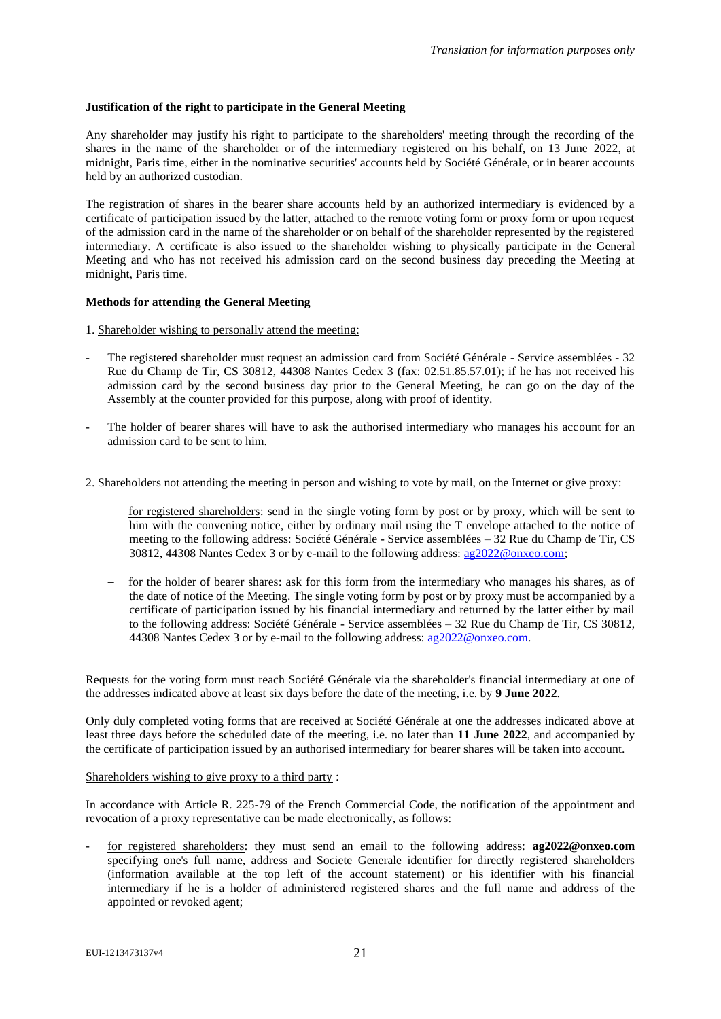## **Justification of the right to participate in the General Meeting**

Any shareholder may justify his right to participate to the shareholders' meeting through the recording of the shares in the name of the shareholder or of the intermediary registered on his behalf, on 13 June 2022, at midnight, Paris time, either in the nominative securities' accounts held by Société Générale, or in bearer accounts held by an authorized custodian.

The registration of shares in the bearer share accounts held by an authorized intermediary is evidenced by a certificate of participation issued by the latter, attached to the remote voting form or proxy form or upon request of the admission card in the name of the shareholder or on behalf of the shareholder represented by the registered intermediary. A certificate is also issued to the shareholder wishing to physically participate in the General Meeting and who has not received his admission card on the second business day preceding the Meeting at midnight, Paris time.

## **Methods for attending the General Meeting**

- 1. Shareholder wishing to personally attend the meeting:
- The registered shareholder must request an admission card from Société Générale Service assemblées 32 Rue du Champ de Tir, CS 30812, 44308 Nantes Cedex 3 (fax: 02.51.85.57.01); if he has not received his admission card by the second business day prior to the General Meeting, he can go on the day of the Assembly at the counter provided for this purpose, along with proof of identity.
- The holder of bearer shares will have to ask the authorised intermediary who manages his account for an admission card to be sent to him.
- 2. Shareholders not attending the meeting in person and wishing to vote by mail, on the Internet or give proxy:
	- for registered shareholders: send in the single voting form by post or by proxy, which will be sent to him with the convening notice, either by ordinary mail using the T envelope attached to the notice of meeting to the following address: Société Générale - Service assemblées – 32 Rue du Champ de Tir, CS 30812, 44308 Nantes Cedex 3 or by e-mail to the following address: ag2022@onxeo.com;
	- for the holder of bearer shares: ask for this form from the intermediary who manages his shares, as of the date of notice of the Meeting. The single voting form by post or by proxy must be accompanied by a certificate of participation issued by his financial intermediary and returned by the latter either by mail to the following address: Société Générale - Service assemblées – 32 Rue du Champ de Tir, CS 30812, 44308 Nantes Cedex 3 or by e-mail to the following address: ag2022@onxeo.com.

Requests for the voting form must reach Société Générale via the shareholder's financial intermediary at one of the addresses indicated above at least six days before the date of the meeting, i.e. by **9 June 2022**.

Only duly completed voting forms that are received at Société Générale at one the addresses indicated above at least three days before the scheduled date of the meeting, i.e. no later than **11 June 2022**, and accompanied by the certificate of participation issued by an authorised intermediary for bearer shares will be taken into account.

#### Shareholders wishing to give proxy to a third party :

In accordance with Article R. 225-79 of the French Commercial Code, the notification of the appointment and revocation of a proxy representative can be made electronically, as follows:

- for registered shareholders: they must send an email to the following address: **ag2022@onxeo.com** specifying one's full name, address and Societe Generale identifier for directly registered shareholders (information available at the top left of the account statement) or his identifier with his financial intermediary if he is a holder of administered registered shares and the full name and address of the appointed or revoked agent;